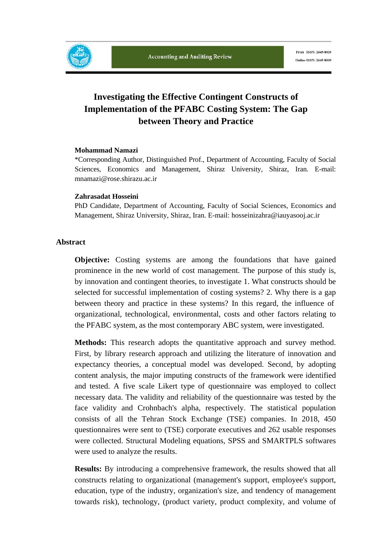

# **Investigating the Effective Contingent Constructs of Implementation of the PFABC Costing System: The Gap between Theory and Practice**

#### **Mohammad Namazi**

\*Corresponding Author, Distinguished Prof., Department of Accounting, Faculty of Social Sciences, Economics and Management, Shiraz University, Shiraz, Iran. E-mail: mnamazi@rose.shirazu.ac.ir

#### **Zahrasadat Hosseini**

PhD Candidate, Department of Accounting, Faculty of Social Sciences, Economics and Management, Shiraz University, Shiraz, Iran. E-mail: hosseinizahra@iauyasooj.ac.ir

#### **Abstract**

**Objective:** Costing systems are among the foundations that have gained prominence in the new world of cost management. The purpose of this study is, by innovation and contingent theories, to investigate 1. What constructs should be selected for successful implementation of costing systems? 2. Why there is a gap between theory and practice in these systems? In this regard, the influence of organizational, technological, environmental, costs and other factors relating to the PFABC system, as the most contemporary ABC system, were investigated.

**Methods:** This research adopts the quantitative approach and survey method. First, by library research approach and utilizing the literature of innovation and expectancy theories, a conceptual model was developed. Second, by adopting content analysis, the major imputing constructs of the framework were identified and tested. A five scale Likert type of questionnaire was employed to collect necessary data. The validity and reliability of the questionnaire was tested by the face validity and Crohnbach's alpha, respectively. The statistical population consists of all the Tehran Stock Exchange (TSE) companies. In 2018, 450 questionnaires were sent to (TSE) corporate executives and 262 usable responses were collected. Structural Modeling equations, SPSS and SMARTPLS softwares were used to analyze the results.

**Results:** By introducing a comprehensive framework, the results showed that all constructs relating to organizational (management's support, employee's support, education, type of the industry, organization's size, and tendency of management towards risk), technology, (product variety, product complexity, and volume of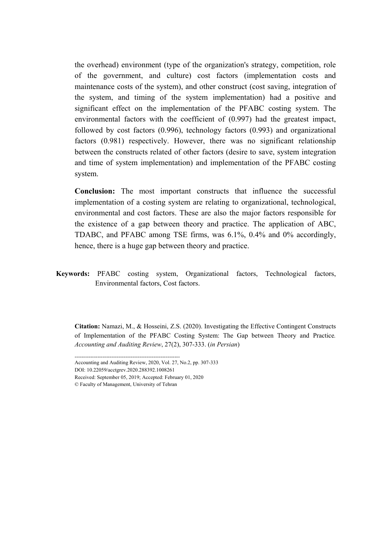the overhead) environment (type of the organization's strategy, competition, role of the government, and culture) cost factors (implementation costs and maintenance costs of the system), and other construct (cost saving, integration of the system, and timing of the system implementation) had a positive and significant effect on the implementation of the PFABC costing system. The environmental factors with the coefficient of (0.997) had the greatest impact, followed by cost factors (0.996), technology factors (0.993) and organizational factors (0.981) respectively. However, there was no significant relationship between the constructs related of other factors (desire to save, system integration and time of system implementation) and implementation of the PFABC costing system.

**Conclusion:** The most important constructs that influence the successful implementation of a costing system are relating to organizational, technological, environmental and cost factors. These are also the major factors responsible for the existence of a gap between theory and practice. The application of ABC, TDABC, and PFABC among TSE firms, was 6.1%, 0.4% and 0% accordingly, hence, there is a huge gap between theory and practice.

**Keywords:** PFABC costing system, Organizational factors, Technological factors, Environmental factors, Cost factors.

**Citation:** Namazi, M., & Hosseini, Z.S. (2020). Investigating the Effective Contingent Constructs of Implementation of the PFABC Costing System: The Gap between Theory and Practice*. Accounting and Auditing Review*, 27(2), 307-333. (*in Persian*)

------------------------------------------------------------

Accounting and Auditing Review, 2020, Vol. 27, No.2, pp. 307-333 DOI: 10.22059/acctgrev.2020.288392.1008261 Received: September 05, 2019; Accepted: February 01, 2020 © Faculty of Management, University of Tehran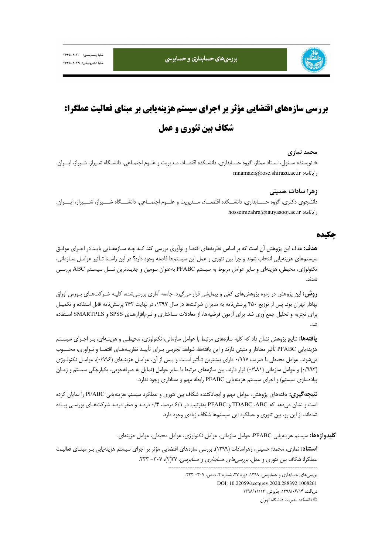بررسی های حسابداری و حسابرسی

# **بررسي سازههاي اقتضايي مؤثر بر اجراي سيستم هزينهيابي بر مبناي فعاليت عملگرا: شكاف بين تئوري و عمل**

#### **محمد نمازي**

\* نويسنده مسئول، اسـتاد ممتاز، گروه حسـابداري، دانشـكده اقتصـاد، مـديريت و علـوم اجتمـاعي، دانشـگاه شـيراز، شـيراز، ايــران. mnamazi@rose.shirazu.ac.ir :رايانامه

#### **زهرا سادات حسيني**

دانشجوي دكتري، گروه حســابداري، دانشــكده اقتصــاد، مــديريت و علــوم اجتمــاعي، دانشـــگاه شـــيراز، شـــيراز، ايـــران. hosseinizahra@iauyasooj.ac.ir :رايانامه

#### **چكيده**

**هدف:** هدف اين پژوهش آن است كه بر اساس نظريههاي اقتضا و نوآوري بررسي كند كـه چـه سـازههـايي بايـد در اجـراي موفـق سيستمهاي هزينهيابي انتخاب شوند و چرا بين تئوري و عمل اين سيستمها فاصله وجود دارد؟ در اين راسـتا تـأثير عوامـل سـازماني، تكنولوژي، محيطي، هزينهاي و ساير عوامل مربوط به سيستم PFABC بهعنوان سومين و جديـدترين نسـل سيسـتم ABC بررسـي شدند.

**روش:** اين پژوهش در زمره پژوهشهاي كمي و پيمايشي قرار ميگيرد. جامعه آماري بررسيشده، كليـه شـركتهـاي بـورس اوراق بهادار تهران بود. پس از توزيع 450 پرسشنامه به مديران شركتها در سال ،1397 در نهايت 262 پرسشنامه قابل استفاده و تكميـل براي تجزيه و تحليل جمعآوري شد. براي آزمون فرضيهها، از معادلات سـاختاري و نـرمافزارهـاي SPSS و SMARTPLS اسـتفاده شد.

**يافتهها:** نتايج پژوهش نشان داد كه كليه سازههاي مرتبط با عوامل سازماني، تكنولوژي، محيطـي و هزينـهاي، بـر اجـراي سيسـتم هزينهيابي PFABC تأثير معنادار و مثبتي دارند و اين يافتهها، شواهد تجربـي بـراي تأييـد نظريـههـاي اقتضـا و نـوآوري، محسـوب ميشوند. عوامل محيطي با ضريب 0/997 داراي بيشترين تـأثير اسـت و پـس از آن، عوامـل هزينـهاي (0/996)، عوامـل تكنولـوژي (0/993) و عوامل سازماني (0/981) قرار دارند. بين سازههاي مرتبط با ساير عوامل (تمايل به صرفهجويي، يكپارچگي سيستم و زمـان پيادهسازي سيستم) و اجراي سيستم هزينهيابي PFABC رابطه مهم و معناداري وجود ندارد.

**نتيجهگيري:** يافتههاي پژوهش، عوامل مهم و ايجادكننده شكاف بين تئوري و عملكرد سيستم هزينهيابي PFABC را نمايان كرده است و نشان ميدهد كه ABC، TDABC و PFABC بهترتيب در 6/1 درصد، 0/4 درصد و صفر درصد شركتهـاي بورسـي پيـاده شدهاند. از اين رو، بين تئوري و عملكرد اين سيستمها شكاف زيادي وجود دارد.

**كليدواژهها:** سيستم هزينهيابي PFABC، عوامل سازماني، عوامل تكنولوژي، عوامل محيطي، عوامل هزينهاي.

**استناد:** نمازي، محمد؛ حسيني، زهراسادات (1399). بررسي سازههاي اقتضايي مؤثر بر اجراي سيستم هزينهيابي بـر مبنـاي فعاليـت عملگرا: شكاف بين تئوري و عمل. *بررسي هاي حسابداري و حسابرسي،* ٢٧(٢)، ٣٠٧- ٣٣٣.

-------------------------------------------------------------------------------------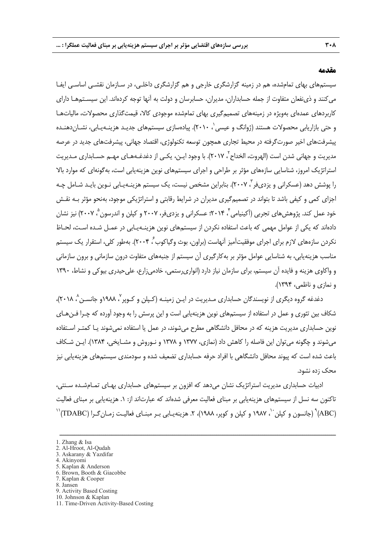#### **مقدمه**

سيستمهاي بهاي تمامشده، هم در زمينه گزارشگري خارجي و هم گزارشگري داخلـي، در سـازمان نقشـي اساسـي ايفـا ميكنند و ذينفعان متفاوت از جمله حسابداران، مديران، حسابرسان و دولت به آنها توجه كردهاند. اين سيسـتمهـا داراي كاربردهاي عمدهاي بهويژه در زمينههاي تصميمگيري بهاي تمامشده موجودي كالا، قيمتگذاري محصولات، مالياتهـا و حتى بازاريابى محصولات هستند (ژوانگ و عيسى $\langle \, \cdot, \, \cdot, \, \cdot \rangle$ . پيادهسازى سيستمهاى جديـد هزينــهيـابى، نشــان<code>دهنـده</code> پيشرفتهاي اخير صورتگرفته در محيط تجاري همچون توسعه تكنولوژي، اقتصاد جهاني، پيشرفتهاي جديد در عرصه مديريت و جهانى شدن است (الهروت، الخداح ً، ٢٠١٧). با وجود ايـن، يكـى از دغدغـههـاى مهـم حسـابدارى مـديريت استراتژيك امروز، شناسايي سازههاي مؤثر بر طراحي و اجراي سيستمهاي نوين هزينهيابي است، بهگونهاي كه موارد بالا را پوشش دهد (عسكرانى و يزدىفر<sup>"</sup>، ٢٠٠٧). بنابراين مشخص نيست، يک سيستم هزينـهيـابى نـوين بايـد شـامل چـه اجزاي كمي و كيفي باشد تا بتواند در تصميمگيري مديران در شرايط رقابتي و استراتژيكي موجود، بهنحو مؤثر بـه نقـش خود عمل كند. پژوهش هاي تجربي (آكينيامي <sup>۲</sup>، ۲۰۱۴؛ عسكراني و يزديفر، ۲۰۰۷ و كپلن و اندرسون <sup>۵</sup>، ۲۰۰۷) نيز نشان دادهاند كه يكي از عوامل مهمي كه باعث استفاده نكردن از سيستمهاي نوين هزينـهيـابي در عمـل شـده اسـت، لحـاظ نكردن سازههاى لازم براى اجراى موفقيتآميز آنهاست (براون، بوث وگياكوب ُ، ۲۰۰۴). بهطور كلى، استقرار يك سيستم مناسب هزينهيابي، به شناسايي عوامل مؤثر بر بهكارگيري آن سيستم از جنبههاي متفاوت درون سازماني و برون سازماني و واكاوي هزينه و فايده آن سيستم، براي سازمان نياز دارد (انواريرستمي، خادميزارع، عليحيدري بيوكي و نشاط، 1390 و نمازي و ناظمي، 1394).

دغدغه گروه ديگرى از نويسندگان حسابدارى مـديريت در ايـن زمينــه (كـپلن و كـوپر <sup>ن</sup>، ١٩٨٨و جانســن <sup>٨</sup> ٢٠١٨)، شكاف بين تئوري و عمل در استفاده از سيستمهاي نوين هزينهيابي است و اين پرسش را به وجود آورده كه چـرا فـنهـاي نوين حسابداري مديريت هزينه كه در محافل دانشگاهي مطرح ميشوند، در عمل يا استفاده نميشوند يـا كمتـر اسـتفاده ميشوند و چگونه ميتوان اين فاصله را كاهش داد (نمازي، 1377 و 1378 و نـوروش و مشـايخي، 1384). ايـن شـكاف باعث شده است كه پيوند محافل دانشگاهي با افراد حرفه حسابداري تضعيف شده و سودمندي سيستمهاي هزينهيابي نيز محك زده نشود.

ادبيات حسابداري مديريت استراتژيك نشان ميدهد كه افزون بر سيستمهاي حسابداري بهـاي تمـامشـده سـنتي، تاكنون سه نسل از سيستمهاي هزينهيابي بر مبناي فعاليت معرفي شدهاند كه عبارتاند از: .1 هزينهيابي بر مبناي فعاليت 1987) (جانسون و كپلن ``، ۱۹۸۷ و كپلن و كوپر، ۱۹۸۸)، ۲. هزينهيـابي بـر مبنـاي فعاليـت زمـانگـرا (TDABC)'`

- 2. Al-Hroot, Al-Qudah 3. Askarany & Yazdifar
- 4. Akinyomi
- 
- 5. Kaplan & Anderson 6. Brown, Booth & Giacobbe
- 7. Kaplan & Cooper
- 8. Jansen
- 9. Activity Based Costing
- 10. Johnson & Kaplan
- 11. Time-Driven Activity-Based Costing

<sup>1.</sup> Zhang & Isa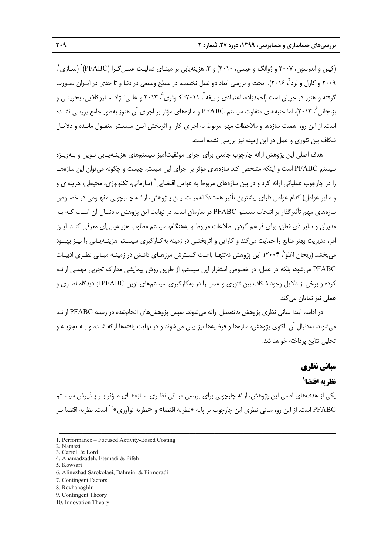$^{7}$ کپلن و اندرسون، ۲۰۰۷ و ژوانگ و عيسى، ۲۰۱۰) و ۳. هزينهيابي بر مبنـاي فعاليـت عمـل $\mathcal{Z}$ ـرا (PFABC) (نمـازي $^{7}$ ، ۲۰۰۹ و کارل و لرد<sup>۳</sup>، ۲۰۱۶). بحث و بررسی ابعاد دو نسل نخست، در سطح وسیعی در دنیا و تا حدی در ایـران صـورت گرفته و هنوز در جريان است (احمدزاده، اعتمادي و پيفه ٔ، ۲۰۱۱؛ كـوثري ْ، ۲۰۱۳ و علـي نـژاد سـاروكلايي، بحرينـي و ، 2013)، اما جنبههاي متفاوت سيستم PFABC و سازههاي مؤثر بر اجراي آن هنوز بهطور جامع بررسي نشـده <sup>6</sup> بزنجاني است. از اين رو، اهميت سازهها و ملاحظات مهم مربوط به اجراي كارا و اثربخش ايـن سيسـتم مغفـول مانـده و دلايـل شكاف بين تئوري و عمل در اين زمينه نيز بررسي نشده است.

هدف اصلي اين پژوهش ارائه چارچوب جامعي براي اجراي موفقيتآميز سيستمهاي هزينـهيـابي نـوين و بـهويـژه سيستم PFABC است و اينكه مشخص كند سازههاي مؤثر بر اجراي اين سيستم چيست و چگونه ميتوان اين سازههـا را در چارچوب عملياتي ارائه كرد و در بين سازههاي مربوط به عوامل اقتضايي<sup>٬</sup> (سازماني، تكنولوژي، محيطي، هزينهاي و و ساير عوامل) كدام عوامل داراي بيشترين تأثير هستند؟ اهميـت ايـن پـژوهش، ارائـه چـارچوبي مفهـومي در خصـوص سازههاي مهم تأثيرگذار بر انتخاب سيستم PFABC در سازمان است. در نهايت اين پژوهش بهدنبـال آن اسـت كـه بـه مديران و ساير ذينفعان، براي فراهم كردن اطلاعات مربوط و بههنگام، سيستم مطلوب هزينهيابياي معرفي كنـد. ايـن امر، مديريت بهتر منابع را حمايت ميكند و كارايي و اثربخشي در زمينه بهكـارگيري سيسـتم هزينـهيـابي را نيـز بهبـود مي بخشد (ريحان اغلو^، ۲۰۰۴). اين پژوهش نهتنهـا باعـث گسـترش مرزهـاي دانـش در زمينـه مبـاني نظـري ادبيـات PFABC ميشود، بلكه در عمل، در خصوص استقرار اين سيستم، از طريق روش پيمايشي مدارك تجربي مهمـي ارائـه كرده و برخي از دلايل وجود شكاف بين تئوري و عمل را در بهكارگيري سيستمهاي نوين PFABC از ديدگاه نظـري و عملي نيز نمايان ميكند.

در ادامه، ابتدا مباني نظري پژوهش بهتفصيل ارائه ميشوند. سپس پژوهشهاي انجامشده در زمينه PFABC ارائـه ميشوند. بهدنبال آن الگوي پژوهش، سازهها و فرضيهها نيز بيان ميشوند و در نهايت يافتهها ارائه شـده و بـه تجزيـه و تحليل نتايج پرداخته خواهد شد.

# **مباني نظري**

# **<sup>9</sup> نظريه اقتضا**

يكي از هدفهاي اصلي اين پژوهش، ارائه چارچوبي براي بررسي مبـاني نظـري سـازههـاي مـؤثر بـر پـذيرش سيسـتم PFABC است. از اين رو، مبانى نظرى اين چارچوب بر پايه «نظريه اقتضا» و «نظريه نوآورى»<sup>۱۰</sup> است. نظريه اقتضا بـر

- 1. Performance Focused Activity-Based Costing
- 2. Namazi 3. Carroll & Lord
- 4. Ahamadzadeh, Etemadi & Pifeh
- 5. Kowsari
- 6. Alinezhad Sarokolaei, Bahreini & Pirmoradi
- 7. Contingent Factors
- 8. Reyhanoghlu
- 9. Contingent Theory
- 10. Innovation Theory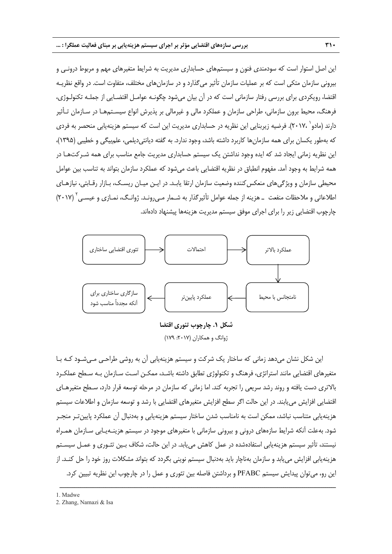اين اصل استوار است كه سودمندي فنون و سيستمهاي حسابداري مديريت به شرايط متغيرهاي مهم و مربوط درونـي و بيروني سازمان متكي است كه بر عمليات سازمان تأثير ميگذارد و در سازمانهاي مختلف، متفاوت است. در واقع نظريـه اقتضا، رويكردي براي بررسي رفتار سازماني است كه در آن بيان ميشود چگونـه عوامـل اقتضـايي از جملـه تكنولـوژي، فرهنگ، محيط برون سازماني، طراحي سازمان و عملكرد مالي و غيرمالي بر پذيرش انواع سيسـتمهـا در سـازمان تـأثير دارند (مادو` ،٢٠١٧،). فرضيه زيربنايي اين نظريه در حسابداري مديريت اين است كه سيستم هزينهيابي منحصر به فردي كه بهطور يكسان براي همه سازمانها كاربرد داشته باشد، وجود ندارد. به گفته ديانتيديلمي، علمبيگي و خطيبي (1395)، اين نظريه زماني ايجاد شد كه ايده وجود نداشتن يك سيستم حسابداري مديريت جامع مناسب براي همه شـركتهـا در همه شرايط به وجود آمد. مفهوم انطباق در نظريه اقتضايي باعث ميشود كه عملكرد سازمان بتواند به تناسب بين عوامل محيطي سازمان و ويژگيهاي منعكسكننده وضعيت سازمان ارتقا يابـد. در ايـن ميـان ريسـك، بـازار رقـابتي، نيازهـاي اطلاعاتي و ملاحظات منفعت ــ هزينه از جمله عوامل تأثيرگذار به شـمار مـي,رونـد. ژوانـگ، نمـازي و عيسـي ' (٢٠١٧) چارچوب اقتضايي زير را براي اجراي موفق سيستم مديريت هزينهها پيشنهاد دادهاند.



ژوانگ و همكاران (٢٠١٧: ١٧٩)

اين شكل نشان ميدهد زماني كه ساختار يك شركت و سيستم هزينهيابي آن به روشي طراحـي مـيشـود كـه بـا متغيرهاي اقتضايي مانند استراتژي، فرهنگ و تكنولوژي تطابق داشته باشـد، ممكـن اسـت سـازمان بـه سـطح عملكـرد بالاتري دست يافته و روند رشد سريعي را تجربه كند. اما زماني كه سازمان در مرحله توسعه قرار دارد، سـطح متغيرهـاي اقتضايي افزايش مييابند. در اين حالت اگر سطح افزايش متغيرهاي اقتضايي با رشد و توسعه سازمان و اطلاعات سيستم هزينهيابي متناسب نباشد، ممكن است به نامناسب شدن ساختار سيستم هزينهيابي و بهدنبال آن عملكرد پايينتـر منجـر شود. بهعلت آنكه شرايط سازههاي دروني و بيروني سازماني با متغيرهاي موجود در سيستم هزينـهيـابي سـازمان همـراه نيستند، تأثير سيستم هزينهيابي استفادهشده در عمل كاهش مييابد. در اين حالت، شكاف بـين تئـوري و عمـل سيسـتم هزينهيابي افزايش مييابد و سازمان بهناچار بايد بهدنبال سيستم نويني بگردد كه بتواند مشكلات روز خود را حل كنـد. از اين رو، ميتوان پيدايش سيستم PFABC و برداشتن فاصله بين تئوري و عمل را در چارچوب اين نظريه تبيين كرد.

<sup>2 .</sup> Zhang, Namazi & Isa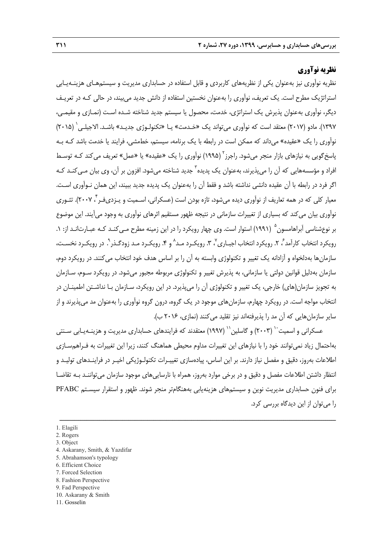# **نظريه نوآوري**

نظريه نوآوري نيز بهعنوان يكي از نظريههاي كاربردي و قابل استفاده در حسابداري مديريت و سيستمهـاي هزينـهيـابي استراتژيك مطرح است. يك تعريف، نوآوري را بهعنوان نخستين استفاده از دانش جديد ميبيند، در حالي كـه در تعريـف ديگر، نوآوري بهعنوان پذيرش يك استراتژي، خدمت، محصول يا سيستم جديد شناخته شـده اسـت (نمـازي و مقيمـي، (2015) <sup>1</sup> 1397). مادو (2017) معتقد است كه نوآوري ميتواند يك «خـدمت» يـا «تكنولـوژي جديـد» باشـد. الاجيلـي نوآوري را يك «عقيده» ميداند كه ممكن است در رابطه با يك برنامه، سيستم، خطمشي، فرايند يا خدمت باشد كـه بـه پاسخ گويي به نيازهاي بازار منجر مي شود. راجرز<sup>۲</sup> (۱۹۹۵) نوآوري را يک «عقيده» يا «عمل» تعريف مي کند کـه توسـط افراد و مؤسسههايي كه آن را مي پذيرند، بهعنوان يک پديده<sup>7</sup> جديد شناخته ميشود. افزون بر آن، وي بيان مـيكنـد كـه اگر فرد در رابطه با آن عقيده دانشي نداشته باشد و فقط آن را بهعنوان يك پديده جديد ببيند، اين همان نـوآوري اسـت. معيار كلي كه در همه تعاريف از نوآوري ديده ميشود، تازه بودن است (عسكراني، اسـميت و يـزديفـر <sup>۲</sup> ۲۰۰۷). تئـوري نوآوري بيان ميكند كه بسياري از تغييرات سازماني در نتيجه ظهور مستقيم اثرهاي نوآوري به وجود ميآيند. اين موضوع بر نوعشناسي آبراهامسون<sup>0</sup> (١٩٩١) استوار است. وي چهار رويكرد را در اين زمينه مطرح مـي *كن*ـد كـه عبـارتانـد از: ١. رويكرد انتخاب كارآمد ً، ٢. رويكرد انتخاب اجبـاري ْ، ٣. رويكـرد مـد ْ و ۴. رويكـرد مـد زودگـذر ْ. در رويكـرد نخسـت، سازمانها بهدلخواه و آزادانه يك تغيير و تكنولوژي وابسته به آن را بر اساس هدف خود انتخاب ميكنند. در رويكرد دوم، سازمان بهدليل قوانين دولتي يا سازماني، به پذيرش تغيير و تكنولوژي مربوطه مجبور ميشود. در رويكرد سـوم، سـازمان به تجويز سازمان(هاي) خارجي، يك تغيير و تكنولوژي آن را ميپذيرد. در اين رويكرد، سـازمان بـا نداشـتن اطمينـان در انتخاب مواجه است. در رويكرد چهارم، سازمانهاي موجود در يك گروه، درون گروه نوآوري را بهعنوان مد ميپذيرند و از ساير سازمانهايي كه آن مد را پذيرفتهاند نيز تقليد ميكنند (نمازي، 2016 ب).

عسكراني و اسميت<sup>۰٬</sup> (۲۰۰۳) و گاسلين'<sup>۱٬</sup> (۱۹۹۷) معتقدند كه فرايندهاي حسابداري مديريت و هزينـهيـابي سـنتي بهاحتمال زياد نميتوانند خود را با نيازهاي اين تغييرات مداوم محيطي هماهنگ كنند، زيرا اين تغييرات به فـراهمسـازي اطلاعات بهروز، دقيق و مفصل نياز دارند. بر اين اساس، پيادهسازي تغييـرات تكنولـوژيكي اخيـر در فراينـدهاي توليـد و انتظار داشتن اطلاعات مفصل و دقيق و در برخي موارد بهروز، همراه با نارساييهاي موجود سازمان ميتواننـد بـه تقاضـا براي فنون حسابداري مديريت نوين و سيستمهاي هزينهيابي بههنگامتر منجر شوند. ظهور و استقرار سيسـتم PFABC را ميتوان از اين ديدگاه بررسي كرد.

- 4. Askarany, Smith, & Yazdifar
- 5. Abrahamson's typology
- 6. Efficient Choice
- 7. Forced Selection 8. Fashion Perspective
- 9. Fad Perspective
- 10. Askarany & Smith
- 11. Gosselin

<sup>1.</sup> Elagili

<sup>2.</sup> Rogers

<sup>3.</sup> Object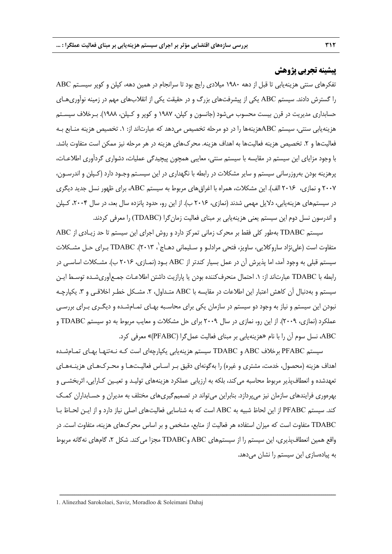## **پيشينه تجربي پژوهش**

تفكرهاي سنتي هزينهيابي تا قبل از دهه 1980 ميلادي رايج بود تا سرانجام در همين دهه، كپلن و كوپر سيسـتم ABC را گسترش دادند. سيستم ABC يكي از پيشرفتهاي بزرگ و در حقيقت يكي از انقلابهاي مهم در زمينه نوآوريهـاي حسابداري مديريت در قرن بيست محسوب ميشود (جانسون و كپلن، 1987 و كوپر و كـپلن، 1988). بـرخلاف سيسـتم هزينهيابي سنتي، سيستم ABCهزينهها را در دو مرحله تخصيص ميدهد كه عبارتاند از: .1 تخصيص هزينه منـابع بـه فعاليتها و ٢. تخصيص هزينه فعاليتها به اهداف هزينه. محركهاي هزينه در هر مرحله نيز ممكن است متفاوت باشد. با وجود مزاياي اين سيستم در مقايسه با سيستم سنتي، معايبي همچون پيچيدگي عمليات، دشواري گردآوري اطلاعـات، پرهزينه بودن بهروزرساني سيستم و ساير مشكلات در رابطه با نگهداري در اين سيسـتم وجـود دارد (كـپلن و اندرسـون، 2007 و نمازي، 2016 الف). اين مشكلات، همراه با اغراقهاي مربوط به سيستم ABC، براي ظهور نسل جديد ديگري در سيستمهاي هزينهيابي، دلايل مهمي شدند (نمازي، 2016 ب). از اين رو، حدود پانزده سال بعد، در سال ،2004 كـپلن و اندرسون نسل دوم اين سيستم يعني هزينهيابي بر مبناي فعاليت زمانگرا (TDABC (را معرفي كردند.

سيستم TDABC بهطور كلي فقط بر محرك زماني تمركز دارد و روش اجراي اين سيستم تا حد زيـادي از ABC متفاوت است (عليiژاد ساروكلايي، ساويز، فتحي مرادلـو و سـليماني دهـاج`، TDABC .(۲۰۱۳) بـراي حـل مشـكلات سيستم قبلي به وجود آمد، اما پذيرش آن در عمل بسيار كندتر از ABC بـود (نمـازي، 2016 ب). مشـكلات اساسـي در رابطه با TDABC عبارتاند از: .1 احتمال منحرفكننده بودن يا پارازيت داشتن اطلاعـات جمـعآوريشـده توسـط ايـن سيستم و بهدنبال آن كاهش اعتبار اين اطلاعات در مقايسه با ABC متـداول، ٢. مشـكل خطـر اخلاقـي و ٣. يكپارچـه نبودن اين سيستم و نياز به وجود دو سيستم در سازمان يكي براي محاسـبه بهـاي تمـامشـده و ديگـري بـراي بررسـي عملكرد (نمازي، 2009). از اين رو، نمازي در سال 2009 براي حل مشكلات و معايب مربوط به دو سيستم TDABC و ABC، نسل سوم آن را با نام «هزينهيابي بر مبناي فعاليت عملگرا (PFABC «(معرفي كرد.

سيستم PFABC برخلاف ABC و TDABC سيستم هزينهيابي يكپارچهاي است كـه نـهتنهـا بهـاي تمـامشـده اهداف هزينه (محصول، خدمت، مشتري و غيره) را بهگونهاي دقيق بـر اسـاس فعاليـتهـا و محـركهـاي هزينـههـاي تعهدشده و انعطافپذير مربوط محاسبه ميكند، بلكه به ارزيابي عملكرد هزينههاي توليـد و تعيـين كـارايي، اثربخشـي و بهرهوري فرايندهاي سازمان نيز ميپردازد. بنابراين ميتواند در تصميمگيريهاي مختلف به مديران و حسـابداران كمـك كند. سيستم PFABC از اين لحاظ شبيه به ABC است كه به شناسايي فعاليتهاي اصلي نياز دارد و از ايـن لحـاظ بـا TDABC متفاوت است كه ميزان استفاده هر فعاليت از منابع، مشخص و بر اساس محركهاي هزينه، متفاوت است. در واقع همين انعطافپذيري، اين سيستم را از سيستمهاي ABC وTDABC مجزا ميكند. شكل ،2 گامهاي نهگانه مربوط به پيادهسازي اين سيستم را نشان ميدهد.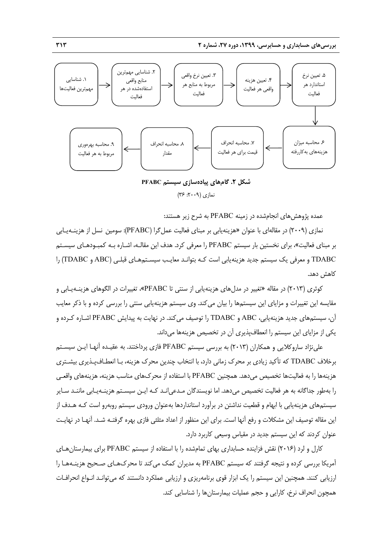

**شكل .2 گامهاي پيادهسازي سيستم PFABC**  نمازي (:2009 36)

عمده پژوهشهاي انجامشده در زمينه PFABC به شرح زير هستند:

نمازي (2009) در مقالهاي با عنوان «هزينهيابي بر مبناي فعاليت عملگرا (PFABC(: سومين نسل از هزينـهيـابي بر مبناي فعاليت»، براي نخستين بار سيستم PFABC را معرفي كرد. هدف اين مقالـه، اشـاره بـه كمبـودهـاي سيسـتم TDABC و معرفي يك سيستم جديد هزينهيابي است كـه بتوانـد معايـب سيسـتمهـاي قبلـي (ABC و TDABC (را كاهش دهد.

كوثري (٢٠١٣) در مقاله «تغيير در مدل هاي هزينه يابي از سنتي تا PFABC»، تغييرات در الگوهاي هزينـهيـابي و مقايسه اين تغييرات و مزاياي اين سيستمها را بيان ميكند. وي سيستم هزينهيابي سنتي را بررسي كرده و با ذكر معايب آن، سيستمهاي جديد هزينهيابي، ABC و TDABC را توصيف ميكند. در نهايت به پيدايش PFABC اشـاره كـرده و يكي از مزاياي اين سيستم را انعطافپذيري آن در تخصيص هزينهها ميداند.

علينژاد ساروكلايي و همكاران (2013) به بررسي سيستم PFABC فازي پرداختند. به عقيـده آنهـا ايـن سيسـتم برخلاف TDABC كه تأكيد زيادي بر محرك زماني دارد، با انتخاب چندين محرك هزينه، بـا انعطـافپـذيري بيشـتري هزينهها را به فعاليتها تخصيص ميدهد. همچنين PFABC با استفاده از محركهاي مناسب هزينه، هزينههاي واقعـي را بهطور جداگانه به هر فعاليت تخصيص ميدهد. اما نويسندگان مـدعيانـد كـه ايـن سيسـتم هزينـهيـابي ماننـد سـاير سيستمهاي هزينهيابي با ابهام و قطعيت نداشتن در برآورد استانداردها بهعنوان ورودي سيستم روبهرو است كـه هـدف از اين مقاله توصيف اين مشكلات و رفع آنها است. براي اين منظور از اعداد مثلثي فازي بهره گرفتـه شـد. آنهـا در نهايـت عنوان كردند كه اين سيستم جديد در مقياس وسيعي كاربرد دارد.

كارل و لرد (2016) نقش فزاينده حسابداري بهاي تمامشده را با استفاده از سيستم PFABC براي بيمارستانهـاي آمريكا بررسي كرده و نتيجه گرفتند كه سيستم PFABC به مديران كمك ميكند تا محركهـاي صـحيح هزينـههـا را ارزيابي كنند. همچنين اين سيستم را يك ابزار قوي برنامهريزي و ارزيابي عملكرد دانستند كه ميتوانـد انـواع انحرافـات همچون انحراف نرخ، كارايي و حجم عمليات بيمارستانها را شناسايي كند.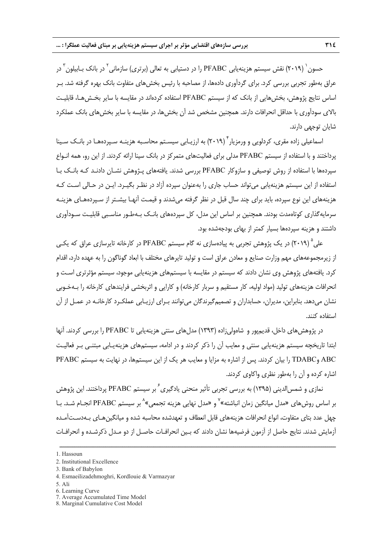حسون` (۲۰۱۹) نقش سیستم هزینهیابی PFABC را در دستیابی به تعالی (برتری) سازمانی<sup>۲</sup> در بانک بـابیلون<sup>۳</sup> در عراق بهطور تجربي بررسي كرد. براي گردآوري دادهها، از مصاحبه با رئيس بخشهاي متفاوت بانك بهره گرفته شد. بـر اساس نتايج پژوهش، بخشهايي از بانك كه از سيستم PFABC استفاده كردهاند در مقايسه با ساير بخـشهـا، قابليـت بالاي سودآوري با حداقل انحرافات دارند. همچنين مشخص شد آن بخشها، در مقايسه با ساير بخشهاي بانك عملكرد شايان توجهي دارند.

اسماعيلي زاده مقري، كردلويي و ورمزيار<sup>٢</sup> (٢٠١٩) به ارزيـابي سيسـتم محاسـبه هزينـه سـپردههـا در بانـك سـينا پرداختند و با استفاده از سيستم PFABC مدلي براي فعاليتهاي متمركز در بانك سينا ارائه كردند. از اين رو، همه انـواع سپردهها با استفاده از روش توصيفي و سازوكار PFABC بررسي شدند. يافتههاي پـژوهش نشـان دادنـد كـه بانـك بـا استفاده از اين سيستم هزينهيابي ميتواند حساب جاري را بهعنوان سپرده آزاد در نظـر بگيـرد. ايـن در حـالي اسـت كـه هزينههاي اين نوع سپرده، بايد براي چند سال قبل در نظر گرفته ميشدند و قيمـت آنهـا بيشـتر از سـپردههـاي هزينـه سرمايهگذاري كوتاهمدت بودند. همچنين بر اساس اين مدل، كل سپردههاي بانـك بـهطـور مناسـبي قابليـت سـودآوري داشتند و هزينه سپردهها بسيار كمتر از بهاي بودجهشده بود.

علي (٢٠١٩) در يک پژوهش تجربي به پيادهسازي نه گام سيستم PFABC در كارخانه تايرسازي عراق كه يكـي از زيرمجموعههاي مهم وزارت صنايع و معادن عراق است و توليد تايرهاي مختلف با ابعاد گوناگون را به عهده دارد، اقدام كرد. يافتههاي پژوهش وي نشان دادند كه سيستم در مقايسه با سيستمهاي هزينهيابي موجود، سيستم مؤثرتري اسـت و انحرافات هزينههاي توليد (مواد اوليه، كار مستقيم و سربار كارخانه) و كارايي و اثربخشي فرايندهاي كارخانه را بـهخـوبي نشان ميدهد. بنابراين، مديران، حسابداران و تصميمگيرندگان ميتوانند بـراي ارزيـابي عملكـرد كارخانـه در عمـل از آن استفاده كنند.

در پژوهشهاي داخل، قديمپور و شاهوليزاده (1393) مدلهاي سنتي هزينهيابي تا PFABC را بررسي كردند. آنها ابتدا تاريخچه سيستم هزينهيابي سنتي و معايب آن را ذكر كردند و در ادامه، سيستمهاي هزينهيـابي مبتنـي بـر فعاليـت ABC وTDABC را بيان كردند. پس از اشاره به مزايا و معايب هر يك از اين سيستمها، در نهايت به سيستم PFABC اشاره كرده و آن را بهطور نظري واكاوي كردند.

نمازي و شمس الديني (١٣٩۵) به بررسي تجربي تأثير منحني يادگيري ً بر سيستم PFABC پرداختند. اين پژوهش بر اساس روشهای «مدل میانگین زمان انباشته»<sup>۷</sup> و «مدل نهایی هزینه تجمعی»<sup>۸</sup> بر سیستم PFABC انجـام شـد. بـا چهل عدد بتاي متفاوت، انواع انحرافات هزينههاي قابل انعطاف و تعهدشده محاسبه شده و ميانگينهـاي بـهدسـتآمـده آزمايش شدند. نتايج حاصل از آزمون فرضيهها نشان دادند كه بـين انحرافـات حاصـل از دو مـدل ذكرشـده و انحرافـات

<sup>1.</sup> Hassoun

<sup>2.</sup> Institutional Excellence

<sup>3.</sup> Bank of Babylon

<sup>4.</sup> Esmaeilizadehmoghri, Kordlouie & Varmazyar

<sup>5.</sup> Ali

<sup>6.</sup> Learning Curve

<sup>7.</sup> Average Accumulated Time Model

<sup>8.</sup> Marginal Cumulative Cost Model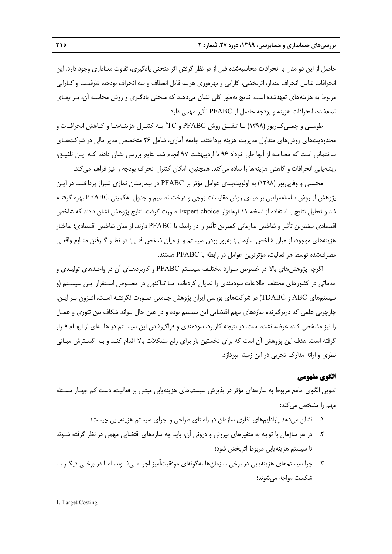حاصل از اين دو مدل با انحرافات محاسبهشده قبل از در نظر گرفتن اثر منحني يادگيري، تفاوت معناداري وجود دارد. اين انحرافات شامل انحراف مقدار، اثربخشي، كارايي و بهرهوري هزينه قابل انعطاف و سه انحراف بودجه، ظرفيـت و كـارايي مربوط به هزينههاي تعهدشده است. نتايج بهطور كلي نشان ميدهند كه منحني يادگيري و روش محاسبه آن، بـر بهـاي تمامشده، انحرافات هزينه و بودجه حاصل از PFABC تأثير مهمي دارد.

1 طوسـي و چمـيكـارپور (1398) بـا تلفيـق روش PFABC و TC بـه كنتـرل هزينـههـا و كـاهش انحرافـات و محدوديتهاي روشهاي متداول مديريت هزينه پرداختند. جامعه آماري، شامل 26 متخصص مدير مالي در شركتهـاي ساختماني است كه مصاحبه از آنها طي خرداد 96 تا ارديبهشت 97 انجام شد. نتايج بررسي نشان دادند كـه ايـن تلفيـق، ريشهيابي انحرافات و كاهش هزينهها را ساده مي كند. همچنين، امكان كنترل انحراف بودجه را نيز فراهم مي كند.

محسني و وفاييپور (1398) به اولويتبندي عوامل مؤثر بر PFABC در بيمارستان نمازي شيراز پرداختند. در ايـن پژوهش از روش سلسلهمراتبي بر مبناي روش مقايسات زوجي و درخت تصميم و جدول نهكميتي PFABC بهره گرفتـه شد و تحليل نتايج با استفاده از نسخه 11 نرمافزار choice Expert صورت گرفت. نتايج پژوهش نشان دادند كه شاخص اقتصادي بيشترين تأثير و شاخص سازماني كمترين تأثير را در رابطه با PFABC دارند. از ميان شاخص اقتصادي؛ ساختار هزينههاي موجود، از ميان شاخص سازماني؛ بهروز بودن سيستم و از ميان شاخص فنـي؛ در نظـر گـرفتن منـابع واقعـي مصرفشده توسط هر فعاليت، مؤثرترين عوامل در رابطه با PFABC هستند.

اگرچه پژوهشهاي بالا در خصوص مـوارد مختلـف سيسـتم PFABC و كاربردهـاي آن در واحـدهاي توليـدي و خدماتي در كشورهاي مختلف اطلاعات سودمندي را نمايان كردهاند، امـا تـاكنون در خصـوص اسـتقرار ايـن سيسـتم (و سيستمهاي ABC و TDABC (در شركتهاي بورسي ايران پژوهش جـامعي صـورت نگرفتـه اسـت. افـزون بـر ايـن، چارچوبي علمي كه دربرگيرنده سازههاي مهم اقتضايي اين سيستم بوده و در عين حال بتواند شكاف بين تئوري و عمـل را نيز مشخص كند، عرضه نشده است. در نتيجه كاربرد، سودمندي و فراگيرشدن اين سيسـتم در هالـهاي از ابهـام قـرار گرفته است. هدف اين پژوهش آن است كه براي نخستين بار براي رفع مشكلات بالا اقدام كنـد و بـه گسـترش مبـاني نظري و ارائه مدارك تجربي در اين زمينه بپردازد.

## **الگوي مفهومي**

تدوين الگوي جامع مربوط به سازههاي مؤثر در پذيرش سيستمهاي هزينهيابي مبتني بر فعاليت، دست كم چهـار مسـئله مهم را مشخص مي كند:

- .1 نشان ميدهد پارادايمهاي نظري سازمان در راستاي طراحي و اجراي سيستم هزينهيابي چيست؛
- .2 در هر سازمان با توجه به متغيرهاي بيروني و دروني آن، بايد چه سازههاي اقتضايي مهمي در نظر گرفته شـوند تا سيستم هزينهيابي مربوط اثربخش شود؛
- .3 چرا سيستمهاي هزينهيابي در برخي سازمانها بهگونهاي موفقيتآميز اجرا مـيشـوند، امـا در برخـي ديگـر بـا شكست مواجه ميشوند؛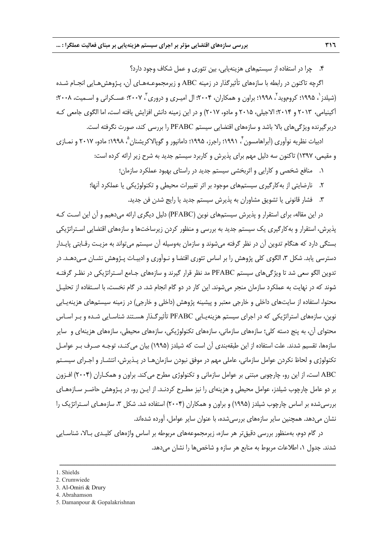.4 چرا در استفاده از سيستمهاي هزينهيابي، بين تئوري و عمل شكاف وجود دارد؟

اگرچه تاكنون در رابطه با سازههاي تأثيرگذار در زمينه ABC و زيرمجموعـههـاي آن، پـژوهشهـايي انجـام شـده (شیلدز<sup>י</sup>، ۱۹۹۵؛ کروموید <sup>۲</sup>، ۱۹۹۸؛ براون و همکاران، ۲۰۰۴؛ ال امیـری و دروری <sup>۳</sup>، ۲۰۰۷؛ عسـکرانی و اسـمیت، ۲۰۰۸؛ آكينيامي، 2013 و 2014؛ الاجيلي، 2015 و مادو، 2017) و در اين زمينه دانش افزايش يافته است، اما الگوي جامعي كـه دربرگيرنده ويژگيهاي بالا باشد و سازههاي اقتضايي سيستم PFABC را بررسي كند، صورت نگرفته است.

ادبيات نظريه نوآوري (آبراهامسون <sup>۴</sup>، ۱۹۹۱؛ راجرز، ۱۹۹۵؛ دامانپور و گوپالاكريشنان <sup>4</sup>، ۱۹۹۸؛ مادو، ۲۰۱۷ و نمـازي و مقيمي، 1397) تاكنون سه دليل مهم براي پذيرش و كاربرد سيستم جديد به شرح زير ارائه كرده است:

- .1 منافع شخصي و كارايي و اثربخشي سيستم جديد در راستاي بهبود عملكرد سازمان؛
- .2 نارضايتي از بهكارگيري سيستمهاي موجود بر اثر تغييرات محيطي و تكنولوژيكي يا عملكرد آنها؛
	- .3 فشار قانوني يا تشويق مشاوران به پذيرش سيستم جديد يا رايج شدن فن جديد.

در اين مقاله، براي استقرار و پذيرش سيستمهاي نوين (PFABC (دليل ديگري ارائه ميدهيم و آن اين اسـت كـه پذيرش، استقرار و بهكارگيري يك سيستم جديد به بررسي و منظور كردن زيرساختها و سازههاي اقتضايي اسـتراتژيكي بستگي دارد كه هنگام تدوين آن در نظر گرفته ميشوند و سازمان بهوسيله آن سيستم ميتواند به مزيـت رقـابتي پايـدار دسترسي يابد. شكل ۳، الگوي كلي پژوهش را بر اساس تئوري اقتضا و نـوآوري و ادبيـات پـژوهش نشـان مـي دهــد. در تدوين الگو سعي شد تا ويژگيهاي سيستم PFABC مد نظر قرار گيرند و سازههاي جـامع اسـتراتژيكي در نظـر گرفتـه شوند كه در نهايت به عملكرد سازمان منجر ميشوند. اين كار در دو گام انجام شد. در گام نخست، با اسـتفاده از تحليـل محتوا، استفاده از سايتهاي داخلي و خارجي معتبر و پيشينه پژوهش (داخلي و خارجي) در زمينه سيستمهاي هزينهيـابي نوين، سازههاي استراتژيكي كه در اجراي سيستم هزينهيـابي PFABC تأثيرگـذار هسـتند شناسـايي شـده و بـر اسـاس محتواي آن، به پنج دسته كلي؛ سازههاي سازماني، سازههاي تكنولوژيكي، سازههاي محيطي، سازههاي هزينهاي و ساير سازهها، تقسيم شدند. علت استفاده از اين طبقهبندي آن است كه شيلدز (1995) بيان ميكنـد، توجـه صـرف بـر عوامـل تكنولوژي و لحاظ نكردن عوامل سازماني، عاملي مهم در موفق نبودن سازمانهـا در پـذيرش، انتشـار و اجـراي سيسـتم ABC است، از اين رو، چارچوبي مبتني بر عوامل سازماني و تكنولوژي مطرح ميكند. براون و همكـاران (2004) افـزون بر دو عامل چارچوب شيلدز، عوامل محيطي و هزينهاي را نيز مطـرح كردنـد. از ايـن رو، در پـژوهش حاضـر سـازههـاي بررسيشده بر اساس چارچوب شيلدز (1995) و براون و همكاران (2004) استفاده شد. شكل ،3 سازههـاي اسـتراتژيك را نشان ميدهد. همچنين ساير سازههاي بررسيشده، با عنوان ساير عوامل، آورده شدهاند.

در گام دوم، بهمنظور بررسي دقيقتر هر سازه، زيرمجموعههاي مربوطه بر اساس واژههاي كليـدي بـالا، شناسـايي شدند. جدول ،1 اطلاعات مربوط به منابع هر سازه و شاخصها را نشان ميدهد.

<sup>1.</sup> Shields

<sup>2.</sup> Crumwiede

<sup>3.</sup> Al-Omiri & Drury

<sup>4.</sup> Abrahamson

<sup>5.</sup> Damanpour & Gopalakrishnan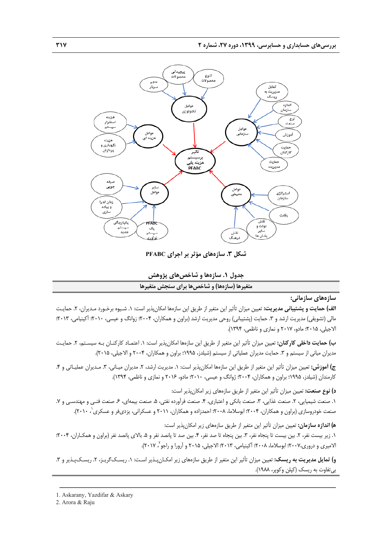

**شكل .3 سازههاي مؤثر بر اجراي PFABC** 

**جدول .1 سازهها و شاخصهاي پژوهش متغيرها (سازهها) و شاخصها براي سنجش متغيرها**

**سازههاي سازماني:** 

**الف) حمايت و پشتيباني مديريت:** تعيين ميزان تأثير اين متغير از طريق اين سازهها امكانپذير است: .1 شـيوه برخـورد مـديران، .2 حمايـت مالي (تشويقي) مديريت ارشد و ٣. حمايت (پشتيباني) روحي مديريت ارشد (براون و همكاران، ٢٠٠۴؛ زوانگ و عيسي، ٢٠١٠؛ آكينيامي، ٢٠١٣؛ الاجيلي، 2015؛ مادو، 2017 و نمازي و ناظمي، 1394).

**ب) حمايت داخلي كاركنان:** تعيين ميزان تأثير اين متغير از طريق اين سازهها امكانپذير است: .1 اعتمـاد كاركنـان بـه سيسـتم، .2 حمايـت مديران مياني از سيستم و ٣. حمايت مديران عملياتي از سيستم (شيلدز، ١٩٩۵؛ براون و همكاران، ٢٠٠۴ و الاجيلي، ٢٠١۵).

**ج) آموزش:** تعيين ميزان تأثير اين متغير از طريق اين سازهها امكانپذير است: .1 مديريت ارشد، .2 مديران ميـاني، .3 مـديران عمليـاتي و .4 كارمندان (شيلدز، 1995؛ براون و همكاران، 2004؛ ژوانگ و عيسي، 2010؛ مادو، 2016 و نمازي و ناظمي، 1394).

**د) نوع صنعت:** تعيين ميزان تأثير اين متغير از طريق سازههاي زير امكانپذير است:

٠١. صنعت شيميايي، ٢. صنعت غذايي، ٣. صنعت بانكي و اعتباري، ۴. صنعت فرآورده نفتي، ۵. صنعت بيمهاي، ۶. صنعت فنـي و مهندسـي و ٧. صنعت خودروسازي (براون و همكاران، ٢٠٠۴؛ ابوسلاما، ٢٠٠٨؛ احمدزاده و همكاران، ٢٠١١ و عسكراني، يزديفر و عسكري '، ٢٠١٠).

**ه) اندازه سازمان:** تعيين ميزان تأثير اين متغير از طريق سازههاي زير امكانپذير است:

.1 زير بيست نفر، ٢. بين بيست تا پنجاه نفر، ٣. بين پنجاه تا صد نفر، ۴. بين صد تا پانصد نفر و ۵. بالاي پانصد نفر (براون و همكـاران، ٢٠٠۴؛ الاميري و دروري،٢٠٠٧؛ ابوسلاما، ٢٠٠٨؛ آكينيامي، ٢٠١٣؛ الاجيلي، ٢٠١۵ و آرورا و راجو<sup>٢</sup>، ٢٠١٧).

**و) تمايل مديريت به ريسك:** تعيين ميزان تأثير اين متغير از طريق سازههاي زير امكـانپـذير اسـت: .1 ريسـكگريـز، .2 ريسـكپـذير و .3 بيتفاوت به ريسك (كپلن وكوپر، 1988).

<sup>1.</sup> Askarany, Yazdifar & Askary

<sup>2.</sup> Arora & Raju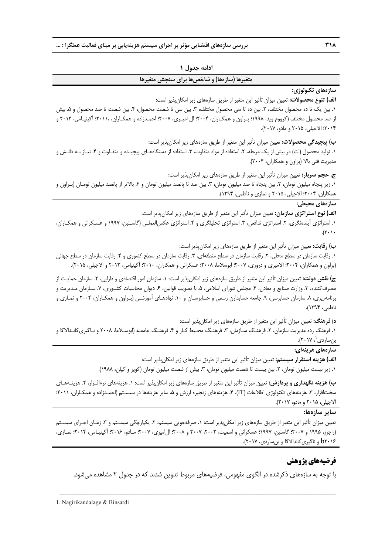| ادامه جدول ۱                                                                                                                                                                                                                                                                                                                                                                                                             |  |  |  |  |  |
|--------------------------------------------------------------------------------------------------------------------------------------------------------------------------------------------------------------------------------------------------------------------------------------------------------------------------------------------------------------------------------------------------------------------------|--|--|--|--|--|
| متغیرها (سازهها) و شاخصها برای سنجش متغیرها                                                                                                                                                                                                                                                                                                                                                                              |  |  |  |  |  |
| سازەھاي تكنولوژى:<br><b>الف) تنوع محصولات: تع</b> یین میزان تأثیر این متغیر از طریق سازههای زیر امکانپذیر است:<br>۱. بین یک تا ده محصول مختلف، ۲. بین ده تا سی محصول مختلف، ۳. بین سی تا شصت محصول، ۴. بین شصت تا صد محصول و ۵. بیش<br>از صد محصول مختلف (کرووم وید، ۱۹۹۸؛ بـراون و همکـاران، ۲۰۰۴: ال امیـری، ۲۰۰۷؛ احمـدزاده و همکـاران، ۲۰۱۱؛ آکینیـامی، ۲۰۱۳ و<br>٢٠١۴؛ الاجيلي، ٢٠١۵ و مادو، ٢٠١٧).                 |  |  |  |  |  |
| <b>ب) پیچیدگی محصولات: تع</b> یین میزان تأثیر این متغیر از طریق سازههای زیر امکانپذیر است:<br>۱. تولید محصول (ات) در بیش از یک مرحله، ۲. استفاده از مواد متفاوت، ۳. استفاده از دستگاههـای پیچیـده و متفـاوت و ۴. نیـاز بـه دانـش و<br>مدیریت فنی بالا (براون و همکاران، ۲۰۰۴).                                                                                                                                           |  |  |  |  |  |
| ج. حجم <b>سربار:</b> تعیین میزان تأثیر این متغیر از طریق سازههای زیر امکانپذیر است:<br>۱. زیر پنجاه میلیون تومان، ۲. بین پنجاه تا صد میلیون تومان، ۳. بین صد تا پانصد میلیون تومان و ۴. بالاتر از پانصد میلیون تومـان (بـراون و<br>همكاران، ٢٠٠۴؛ الاجيلي، ٢٠١۵ و نمازي و ناظمي، ١٣٩۴).                                                                                                                                  |  |  |  |  |  |
| سازەھاي محيطى:<br><b>الف) نوع استراتژی سازمان:</b> تعیین میزان تأثیر این متغیر از طریق سازمهای زیر امکانپذیر است:<br>۱. استراتژی ایندهنگری، ۲. استراتژی تدافعی، ۳. استراتژی تحلیلگری و ۴. استراتژی عکس لعملـی (گاسـلین، ۱۹۹۷ و عسـکرانی و همکـاران،                                                                                                                                                                      |  |  |  |  |  |
| ب) رقابت: تعیین میزان تأثیر این متغیر از طریق سازههای زیر امکانپذیر است:<br>۱. رقابت سازمان در سطح محلی، ۲. رقابت سازمان در سطح منطقهای، ۳. رقابت سازمان در سطح کشوری و ۴. رقابت سازمان در سطح جهانی<br>(براون و همکاران، ۲۰۰۴؛ الامیری و دروری، ۲۰۰۷؛ ابوسلاما، ۲۰۰۸؛ عسکرانی و همکاران، ۲۰۱۰؛ آکینیامی، ۲۰۱۳ و الاجیلی، ۲۰۱۵).                                                                                         |  |  |  |  |  |
| ج <b>) نقش دولت:</b> تعیین میزان تأثیر این متغیر از طریق سازمهای زیر امکانپذیر است: ۱. سازمان امور اقتصادی و دارایی، ۲. سازمان حمایـت از<br>مصرف کننده، ۳. وزارت صنایع و معادن، ۴. مجلس شورای اسلامی، ۵. با تصویب قوانین، ۶. دیوان محاسبات کشـوری، ۷. سـازمان مـدیریت و<br>برنامهریزی، ۸. سازمان حسابرسی، ۹. جامعه حسابدارن رسمی و حسابرسـان و ۱۰. نهادهـای أموزشـی (بـراون و همکـاران، ۲۰۰۴ و نمـازی و<br>ناظمى، ۱۳۹۴). |  |  |  |  |  |
| <b>د) فرهنگ:</b> تعیین میزان تأثیر این متغیر از طریق سازههای زیر امکانپذیر است:<br>۱. فرهنگ رده مدیریت سازمان، ۲. فرهنگ سـازمان، ۳. فرهنـگ محـیط کـار و ۴. فرهنـگ جامعـه (ابوسـلاما، ۲۰۰۸ و نـاگیری&انـدالاگا و                                                                                                                                                                                                          |  |  |  |  |  |

بن ساردي`، ۲۰۱۷).

**سازههاي هزينهاي:** 

**الف) هزينه استقرار سيستم:** تعيين ميزان تأثير اين متغير از طريق سازههاي زير امكانپذير است:

1. زير بيست ميليون تومان، ٢. بين بيست تا شصت ميليون تومان، ٣. بيش از شصت ميليون تومان (كوپر و كپلن، ١٩٨٨).

**ب) هزينه نگهداري و پردازش:** تعيين ميزان تأثير اين متغير از طريق سازههاي زير امكانپذير است: .1 هزينههاي نرمافـزار، .2 هزينـههـاي سختافزار، ٣. هزينههاي تكنولوژي اطلاعات (IT)، ۴. هزينههاي زنجيره ارزش و ۵. ساير هزينهها در سيسـتم (احمـدزاده و همكـاران، ٢٠١١؛ الاجيلي، 2015 و مادو، 2017).

**ساير سازهها:** 

تعيين ميزان تأثير اين متغير از طريق سازههاي زير امكانپذير است: ١. صرفهجويي سيستم، ٢. يكپارچگي سيسـتم و ٣. زمـان اجـراي سيسـتم (راجرز، ۱۹۹۵ و ۲۰۰۲؛ گاسلين، ۱۹۹۷؛ عسكراني و اسميت، ۲۰۰۳، ۲۰۰۷ و ۲۰۰۸؛ ال۱ميري، ۲۰۰۷؛ مـادو، ۲۰۱۶؛ آكينيـامي، ۲۰۱۴؛ نمـازي، 2016b و ناگيريكاندالاگا و بنساردي، 2017).

# **فرضيههاي پژوهش**

با توجه به سازههاي ذكرشده در الگوي مفهومي، فرضيههاي مربوط تدوين شدند كه در جدول 2 مشاهده ميشود.

ــــــــــــــــــــــــــــــــــــــــــــــــــــــــــــــــــــــــــــــــــــــــــــــــــــــــــــــــــــــــــــــــــــ

1. Nagirikandalage & Binsardi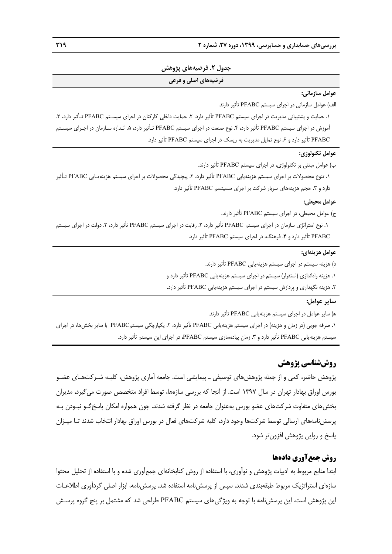#### **جدول .2 فرضيههاي پژوهش**

#### **فرضيههاي اصلي و فرعي**

#### **عوامل سازماني:**

الف) عوامل سازماني در اجراي سيستم PFABC تأثير دارند. 1. حمايت و پشتيباني مديريت در اجراي سيستم PFABC تأثير دارد، ٢. حمايت داخلي كاركنان در اجراي سيسـتم PFABC تـأثير دارد، ٣. آموزش در اجراي سيستم PFABC تأثير دارد، .4 نوع صنعت در اجراي سيستم PFABC تـأثير دارد، .5 انـدازه سـازمان در اجـراي سيسـتم PFABC تأثير دارد و .6 نوع تمايل مديريت به ريسك در اجراي سيستم PFABC تأثير دارد.

#### **عوامل تكنولوژي:**

ب) عوامل مبتني بر تكنولوژي، در اجراي سيستم PFABC تأثير دارند. .1 تنوع محصولات بر اجراي سيستم هزينهيابي PFABC تأثير دارد، .2 پيچيدگي محصولات بر اجراي سيستم هزينهيـابي PFABC تـأثير دارد و ٣. حجم هزينههاي سربار شركت بر اجراي سسيتسم PFABC تأثير دارد.

#### **عوامل محيطي:**

ج) عوامل محيطي، در اجراي سيستم PFABC تأثير دارند. ١. نوع استراتژي سازمان در اجراي سيستم PFABC تأثير دارد، ٢. رقابت در اجراي سيستم PFABC تأثير دارد، ٣. دولت در اجراي سيستم PFABC تأثير دارد و .4 فرهنگ، در اجراي سيستم PFABC تأثير دارد.

#### **عوامل هزينهاي:**

د) هزينه سيستم در اجراي سيستم هزينهيابي PFABC تأثير دارند.

.1 هزينه راهاندازي (استقرار) سيستم در اجراي سيستم هزينهيابي PFABC تأثير دارد و

.2 هزينه نگهداري و پردازش سيستم در اجراي سيستم هزينهيابي PFABC تأثير دارد.

## **ساير عوامل:**

ه) ساير عوامل در اجراي سيستم هزينهيابي PFABC تأثير دارند. .1 صرفه جويي (در زمان و هزينه) در اجراي سيستم هزينهيابي PFABC تأثير دارد، .2 يكپارچگي سيستمPFABC با ساير بخشها، در اجراي سيستم هزينهيابي PFABC تأثير دارد و ٣. زمان پيادهسازي سيستم PFABC، در اجراي اين سيستم تأثير دارد.

# **روششناسي پژوهش**

پژوهش حاضر، كمي و از جمله پژوهشهاي توصيفي ـ پيمايشي است. جامعه آماري پژوهش، كليـه شـركتهـاي عضـو بورس اوراق بهادار تهران در سال 1397 است. از آنجا كه بررسي سازهها، توسط افراد متخصص صورت ميگيرد، مديران بخشهاي متفاوت شركتهاي عضو بورس بهعنوان جامعه در نظر گرفته شدند. چون همواره امكان پاسخگـو نبـودن بـه پرسشنامههاي ارسالي توسط شركتها وجود دارد، كليه شركتهاي فعال در بورس اوراق بهادار انتخاب شدند تـا ميـزان پاسخ و روايي پژوهش افزونتر شود.

# **روش جمعآوري دادهها**

ابتدا منابع مربوط به ادبيات پژوهش و نوآوري، با استفاده از روش كتابخانهاي جمعآوري شده و با استفاده از تحليل محتوا سازهاي استراتژيك مربوط طبقهبندي شدند. سپس از پرسشنامه استفاده شد. پرسشنامه، ابزار اصلي گردآوري اطلاعـات اين پژوهش است. اين پرسشنامه با توجه به ويژگيهاي سيستم PFABC طراحي شد كه مشتمل بر پنج گروه پرسـش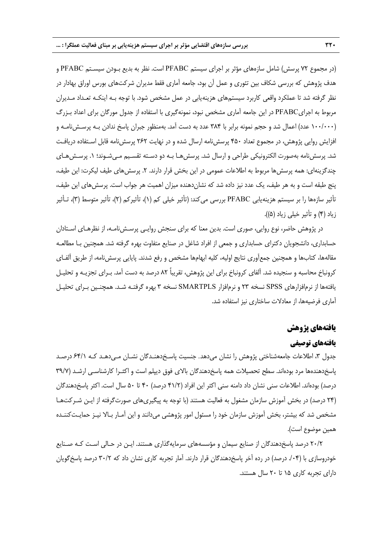(در مجموع 72 پرسش) شامل سازههاي مؤثر بر اجراي سيستم PFABC است. نظر به بديع بـودن سيسـتم PFABC و هدف پژوهش كه بررسي شكاف بين تئوري و عمل آن بود، جامعه آماري فقط مديران شركتهاي بورس اوراق بهادار در نظر گرفته شد تا عملكرد واقعي كاربرد سيستمهاي هزينهيابي در عمل مشخص شود. با توجه بـه اينكـه تعـداد مـديران مربوط به اجرايPFABC در اين جامعه آماري مشخص نبود، نمونهگيري با استفاده از جدول مورگان براي اعداد بـزرگ (100/000 عدد) اعمال شد و حجم نمونه برابر با 384 عدد به دست آمد. بهمنظور جبران پاسخ ندادن بـه پرسـشنامـه و افزايش روايي پژوهش، در مجموع تعداد 450 پرسشنامه ارسال شده و در نهايت 262 پرسشنامه قابل اسـتفاده دريافـت شد. پرسشiامه بهصورت الكترونيكي طراحي و ارسال شد. پرسش هـا بـه دو دسـته تقسـيم مـي شـوند؛ ١. پرسـش هـاي چندگزينهاي: همه پرسش ها مربوط به اطلاعات عمومي در اين بخش قرار دارند. ٢. پرسش هاي طيف ليكرت: اين طيف، پنج طبقه است و به هر طيف، يك عدد نيز داده شد كه نشاندهنده ميزان اهميت هر جواب است. پرسشهاي اين طيف، تأثير سازهها را بر سيستم هزينهيابي PFABC بررسي ميكند: (تأثير خيلي كم (1)، تأثيركم (2)، تأثير متوسط (3)، تـأثير زياد (4) و تأثير خيلي زياد (5)).

در پژوهش حاضر، نوع روايي، صوري است. بدين معنا كه براي سنجش روايـي پرسـشنامـه، از نظرهـاي اسـتادان حسابداري، دانشجويان دكتراي حسابداري و جمعي از افراد شاغل در صنايع متفاوت بهره گرفته شد. همچنين بـا مطالعـه مقالهها، كتابها و همچنين جمعآوري نتايج اوليه، كليه ابهامها مشخص و رفع شدند. پايايي پرسشنامه، از طريق آلفـاي كرونباخ محاسبه و سنجيده شد. آلفاي كرونباخ براي اين پژوهش، تقريباً 82 درصد به دست آمد. بـراي تجزيـه و تحليـل يافتهها از نرمافزارهاي SPSS نسخه 23 و نرمافزار SMARTPLS نسخه 3 بهره گرفتـه شـد. همچنـين بـراي تحليـل آماري فرضيهها، از معادلات ساختاري نيز استفاده شد.

# **يافتههاي پژوهش**

## **يافتههاي توصيفي**

جدول ۳، اطلاعات جامعهشناختي پژوهش را نشان ميدهد. جنسيت پاسـخدهنـدگان نشـان مـيدهـد كـه ۶۴/۱ درصـد پاسخدهندهها مرد بودهاند. سطح تحصيلات همه پاسخدهندگان بالاي فوق ديپلم است و اكثـرا كارشناسـي ارشـد (39/7 درصد) بودهاند. اطلاعات سني نشان داد دامنه سني اكثر اين افراد (41/2 درصد) 40 تا 50 سال است. اكثر پاسخدهندگان (24 درصد) در بخش آموزش سازمان مشغول به فعاليت هستند (با توجه به پيگيريهاي صورتگرفته از ايـن شـركتهـا مشخص شد كه بيشتر، بخش آموزش سازمان خود را مسئول امور پژوهشي ميدانند و اين آمـار بـالا نيـز حمايـتكننـده همين موضوع است).

20/2 درصد پاسخدهندگان از صنايع سيمان و مؤسسههاي سرمايهگذاري هستند. ايـن در حـالي اسـت كـه صـنايع خودروسازي با (۰۴/ درصد) در رده آخر پاسخدهندگان قرار دارند. آمار تجربه كاري نشان داد كه ۳۰/۲ درصد پاسخ گويان داراي تجربه كاري 15 تا 20 سال هستند.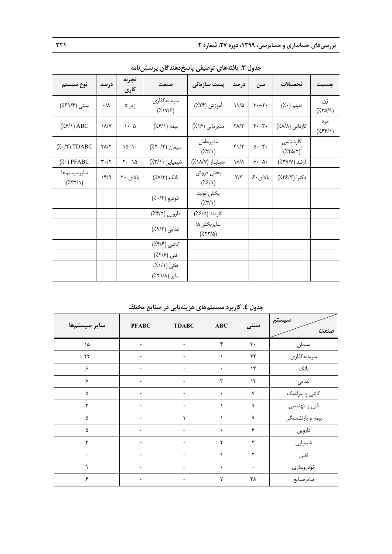| نوع سيستم                              | درصد                         | تجربه<br>کاری      | صنعت                                             | پست سازمانی                                           | درصد                | سن                                    | تحصيلات                                                                 | جنسيت                                      |
|----------------------------------------|------------------------------|--------------------|--------------------------------------------------|-------------------------------------------------------|---------------------|---------------------------------------|-------------------------------------------------------------------------|--------------------------------------------|
| سنتي (۶۱/۴٪)                           | $\cdot/\lambda$              | زیر ۵              | سرمايهگذاري<br>$(\lambda \vee \vee \vee \infty)$ | أموزش (۲۴٪)                                           | $11/\Delta$         | $\mathbf{y} \cdot -\mathbf{y}$        | ديپلم (۰٪)                                                              | زن<br>$(\frac{1}{2}\pi\Delta/\mathcal{A})$ |
| $(\frac{7}{5})$ ABC                    | $\lambda/\gamma$             | $\lambda - \delta$ | بيمه (١/۶٪)                                      | مديرمالي (١۶٪)                                        | $Y\Lambda/Y$        | $\mathfrak{r}_{\cdot-\mathfrak{r}}$ . | كارداني (٨/٨٪)                                                          | مرد<br>$(\frac{7}{5})$                     |
| $(\lambda \cdot / \mathfrak{r})$ TDABC | ۲۸/۲                         | $10 - 1$           | سيمان (٢٠/٢٪)                                    | مديرعامل<br>$(\frac{7}{7})$                           | 41/7                |                                       | كارشناسى<br>$(\frac{1}{2}\frac{1}{2}\frac{1}{2}\frac{1}{2}\frac{1}{2})$ |                                            |
| $(\lambda \cdot)$ PFABC                | $\mathbf{y}\cdot/\mathbf{y}$ | $Y - \delta$       | شیمیایی (۳/۱٪)                                   | حسابدار (١٨/٧٪)                                       | $\frac{5}{4}$       | $5 - \Delta$                          | ارشد (۳۹/۷٪)                                                            |                                            |
| سايرسيستمها<br>$(\frac{7}{77})$        | 14/9                         | بالای ۲۰           | بانک (٧/٣٪)                                      | بخش فروش<br>$(\frac{7}{5})$                           | $\Upsilon/\Upsilon$ | بالای ۶۰                              | دكترا (٢/٢٣٪)                                                           |                                            |
|                                        |                              |                    | خودرو (۰/۴٪)                                     | بخش توليد<br>$(\frac{7}{7})$                          |                     |                                       |                                                                         |                                            |
|                                        |                              |                    | دارویی (۴/۲٪)                                    | كارمند (۶/۵٪)                                         |                     |                                       |                                                                         |                                            |
|                                        |                              |                    | غذايي (٩/٢٪)                                     | سايربخش ها<br>$(\frac{1}{2}(\frac{1}{2}+\frac{1}{2})$ |                     |                                       |                                                                         |                                            |
|                                        |                              |                    | کاشی (۴/۶٪)                                      |                                                       |                     |                                       |                                                                         |                                            |
|                                        |                              |                    | فني (١٤/٤٪)                                      |                                                       |                     |                                       |                                                                         |                                            |
|                                        |                              |                    | نفتى (١/١٪)                                      |                                                       |                     |                                       |                                                                         |                                            |
|                                        |                              |                    | ساير (٢١/٨٪)                                     |                                                       |                     |                                       |                                                                         |                                            |

**جدول .3 يافتههاي توصيفي پاسخدهندگان پرسشنامه** 

**جدول .4 كاربرد سيستمهاي هزينهيابي در صنايع مختلف**

| ساير سيستمها | <b>PFABC</b> | <b>TDABC</b> | <b>ABC</b> | سنتى           | سيستم<br>صنعت    |
|--------------|--------------|--------------|------------|----------------|------------------|
| ١۵           | ۰            | ٠            | ۴          | $\mathbf{r}$ . | سيمان            |
| $\mathbf{y}$ | ۰            | ٠            |            | ٢٢             | سرمايهگذاري      |
| ۶            | ٠            | ٠            | ۰          | $\mathcal{N}$  | بانک             |
| $\mathsf{v}$ | ٠            | ٠            | ٣          | $\mathcal{N}$  | غذايى            |
| ۵            | ۰            | $\bullet$    | ٠          | $\mathsf{Y}$   | کاشی و سرامیک    |
| ٣            | ٠            | ۰            |            | ٩              | فنی و مهندسی     |
| ۵            | ٠            | ١.           |            | ٩              | بیمه و بازنشستگی |
| ۵            | ۰            | $\bullet$    | ٠          | ۶              | دارويي           |
| ٣            | ٠            | ۰            | ٢          | ٣              | شیمیایی          |
| ۰            | ٠            | ٠            |            | ٢              | نفتى             |
| ١            | ۰            | $\bullet$    | ۰          | $\bullet$      | خودروسازى        |
| ۶            | $\bullet$    | $\bullet$    | ٢          | ۴۸             | سايرصنايع        |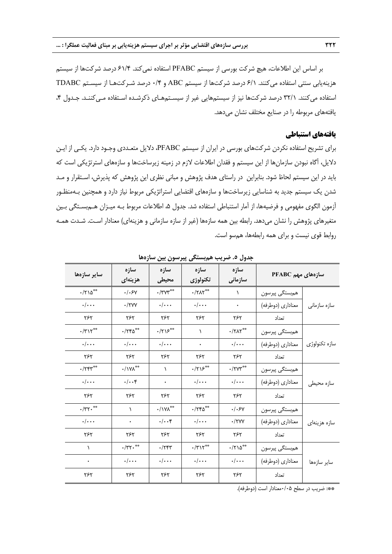بر اساس اين اطلاعات، هيچ شركت بورسي از سيستم PFABC استفاده نميكند. 61/4 درصد شركتها از سيستم هزينهيابي سنتي استفاده ميكنند. 6/1 درصد شركتها از سيستم ABC و 0/4 درصد شـركتهـا از سيسـتم TDABC استفاده مي كنند. ٣٢/١ درصد شركتها نيز از سيستمهايي غير از سيسـتمهـاي ذكرشـده اسـتفاده مـي كننـد. جـدول ۴، يافتههاي مربوطه را در صنايع مختلف نشان ميدهد.

## **يافتههاي استنباطي**

براي تشريح استفاده نكردن شركتهاي بورسي در ايران از سيستم PFABC، دلايل متعـددي وجـود دارد. يكـي از ايـن دلايل، آگاه نبودن سازمانها از اين سيستم و فقدان اطلاعات لازم در زمينه زيرساختها و سازههاي استرتژيكي است كه بايد در اين سيستم لحاظ شود. بنابراين در راستاي هدف پژوهش و مباني نظري اين پژوهش كه پذيرش، اسـتقرار و مـد شدن يك سيستم جديد به شناسايي زيرساختها و سازههاي اقتضايي استراتژيكي مربوط نياز دارد و همچنين بـهمنظـور آزمون الگوي مفهومي و فرضيهها، از آمار استنباطي استفاده شد. جدول ،5 اطلاعات مربوط بـه ميـزان هـمبسـتگي بـين متغيرهاي پژوهش را نشان ميدهد. رابطه بين همه سازهها (غير از سازه سازماني و هزينهاي) معنادار اسـت. شـدت همـه روابط قوي نيست و براي همه رابطهها، همسو است.

| ساير سازەھا                | سازه<br>هزينهاي               | سازه<br>محيطى                | سازه<br>تكنولوژي                                                                   | سازه<br>سازمانی            | سازەھاي مهم PFABC |               |  |
|----------------------------|-------------------------------|------------------------------|------------------------------------------------------------------------------------|----------------------------|-------------------|---------------|--|
| $\cdot$ /٢١۵ <sup>**</sup> | . / .5v                       | $\cdot$ /٣٧٣                 | $\cdot$ /٢ $\Lambda$ ٢**                                                           | $\lambda$                  | همېستگى پيرسون    |               |  |
| $\cdot/\cdot\cdot$         | $\cdot$ /۲۷۷                  | $\cdot/\cdot\cdot$           | $\cdot/\cdot\cdot\cdot$                                                            | $\bullet$                  | معناداري (دوطرفه) | سازه سازمانی  |  |
| ٢۶٢                        | ۲۶۲                           | ۲۶۲                          | ٢۶٢                                                                                | ۲۶۲                        | تعداد             |               |  |
| $\cdot$ /٣١٢**             | $\cdot$ /٢۴۵**                | $\cdot$ /۲۱۶**               | ١                                                                                  | $\cdot$ /٢ $\Lambda$ ٢**   | همېستگى پيرسون    |               |  |
| $\cdot/\cdot\cdot$         | $\cdot/\cdot\cdot$            | $\cdot/\cdot\cdot$           | $\bullet$                                                                          | $\cdot/\cdot\cdot$         | معناداري (دوطرفه) | سازه تكنولوژى |  |
| ٢۶٢                        | ٢۶٢                           | ٢۶٢                          | ٢۶٢                                                                                | ٢۶٢                        | تعداد             |               |  |
| $\cdot$ /۲۴۳**             | $\cdot/\Upsilon\Lambda^{**}$  | $\lambda$                    | $\cdot$ /۲۱۶**                                                                     | $\cdot$ /۲۷۳**             | همبستگي پيرسون    |               |  |
| $\cdot/\cdot\cdot$         | $\cdot/\cdot\cdot$ ۴          | $\star$                      | $\cdot/\cdot\cdot$                                                                 | $\cdot/\cdot\cdot$         | معناداري (دوطرفه) | سازه محیطی    |  |
| ٢۶٢                        | ۲۶۲                           | ٢۶٢                          | ٢۶٢                                                                                | ۲۶۲                        | تعداد             |               |  |
| $\cdot$ /٣٢.               | $\lambda$                     | $\cdot/\Upsilon\Lambda^{**}$ | $\cdot$ /٢۴۵**                                                                     | .1.5v                      | همبستگي پيرسون    |               |  |
| $\cdot/\cdot\cdot$         | ۰                             | $\cdot/\cdot\cdot$ ۴         | $\cdot/\cdot\cdot$                                                                 | $\cdot$ /۲۷۷               | معناداري (دوطرفه) | سازه هزينهاى  |  |
| ٢۶٢                        | ۲۶۲                           | ۲۶۲                          | ۲۶۲                                                                                | ۲۶۲                        | تعداد             |               |  |
| $\lambda$                  | $\cdot/\Upsilon\Upsilon\cdot$ | .754                         | $\boldsymbol{\cdot} / \boldsymbol{\upgamma} \backslash \boldsymbol{\upgamma}^{**}$ | $\cdot$ /٢١۵ <sup>**</sup> | هم ستگی پیرسون    |               |  |
| ٠                          | $\cdot/\cdot\cdot$            | $\cdot/\cdot\cdot$           | $\cdot/\cdot\cdot$                                                                 | $\cdot/\cdot\cdot$         | معناداري (دوطرفه) | ساير سازەھا   |  |
| ۲۶۲                        | ۲۶۲                           | ۲۶۲                          | ٢۶٢                                                                                | ۲۶۲                        | تعداد             |               |  |

**جدول .5 ضريب همبستگي پيرسون بين سازهها** 

\*\*: ضريب در سطح 0/05معنادار است (دوطرفه).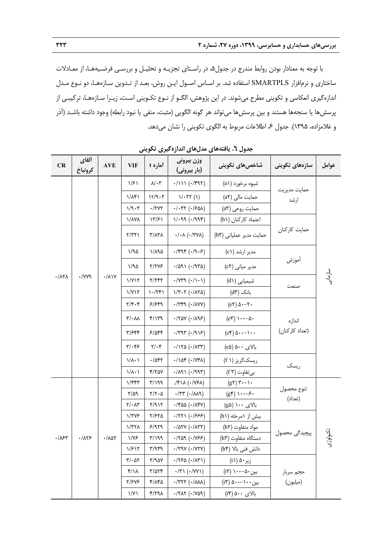با توجه به معنادار بودن روابط مندرج در جدول،5 در راسـتاي تجزيـه و تحليـل و بررسـي فرضـيههـا، از معـادلات ساختاري و نرمافزار SMARTPLS استفاده شد. بر اسـاس اصـول ايـن روش، بعـد از تـدوين سـازههـا، دو نـوع مـدل اندازهگيري انعكاسي و تكويني مطرح ميشوند. در اين پژوهش، الگـو از نـوع تكـويني اسـت، زيـرا سـازههـا، تركيبـي از پرسشها يا سنجهها هستند و بين پرسشها ميتواند هر گونه الگويي (مثبت، منفي يا نبود رابطه) وجود داشته باشـد (آذر و غلامزاده، ۱۳۹۵). جدول ۶، اطلاعات مربوط به الگوي تكويني را نشان ميدهد.

| CR                               | ألفاي<br>كرونباخ | $\mathbf{AVE}$                | <b>VIF</b>                                                                             | آماره t                                    | وزن بيروني<br>(بار بیرونی)                               | بتنون ۰۰ پیشتن میں سی استارہ عیری صلح یعی<br>شاخصهای تکوینی | سازەھاي تكوينى        | عوامل        |
|----------------------------------|------------------|-------------------------------|----------------------------------------------------------------------------------------|--------------------------------------------|----------------------------------------------------------|-------------------------------------------------------------|-----------------------|--------------|
|                                  |                  |                               | 1/51                                                                                   | $\lambda/\cdot$ ۳                          | $.1111 (+1997)$                                          | شيوه برخورد (a ۱)                                           |                       |              |
|                                  |                  |                               | $1/\lambda f$                                                                          | 11/9.7                                     | $1/-77(1)$                                               | حمایت مالی (a۲)                                             | حمايت مديريت<br>ارشد  |              |
|                                  |                  |                               | 1/9.7                                                                                  | $\cdot$ /٢٧٢                               | $.7.77$ ( $.780$ )                                       | حمایت روحی (a۳)                                             |                       |              |
|                                  |                  |                               | <b>\/AYA</b>                                                                           | ۱۳/۶۱                                      | 1/199 (1999)                                             | اعتماد كاركنان (b١)                                         |                       |              |
|                                  |                  |                               | Y/YY                                                                                   | $\Upsilon/\Lambda\Upsilon\Lambda$          | $\cdot/\cdot \Lambda$ ( $\cdot$ /۳۷۸)                    | حمایت مدیر عملیاتی (b٣)                                     | حمايت كاركنان         |              |
|                                  |                  |                               | 1/90                                                                                   | $1/\lambda$ 92                             | $\cdot$ /۴۹۴ $(\cdot$ /۹۰۶)                              | مدیر ارشد (c۱)                                              |                       |              |
|                                  |                  |                               | ۱/۹۵                                                                                   | Y/YYF                                      | $(679)$ ( $-109$                                         | مدیر میانی (c۲)                                             | أموزش                 |              |
| $\cdot/\lambda\mathbf{Y}\lambda$ | YYY              | $\cdot/\lambda$               | 1/Y17                                                                                  | Y/YYY                                      | $\cdot$ / $Y^{\alpha}$ ( $\cdot$ /) $\cdot$ )            | شیمیای <i>ی</i> (d۱)                                        | صنعت                  | سازمانی<br>و |
|                                  |                  |                               | 1/Y17                                                                                  | $\binom{1-\tau}{\tau}$                     | $\frac{1}{r}$ ( $\cdot$ / $\wedge$ $\uparrow$ $\uparrow$ | بانک (d۳)                                                   |                       |              |
|                                  |                  |                               | $\mathbf{Y}/\mathbf{Y}\cdot\mathbf{Y}$<br>5/549<br>$\cdot$ /۳۴۹ $(\cdot / \lambda VV)$ | $(e\tau)$ $\Delta$ $\cdot$ $-\tau$ $\cdot$ |                                                          |                                                             |                       |              |
|                                  |                  |                               | $\mathsf{r}/\cdot\mathsf{v}$                                                           | $f/\gamma$                                 | $\cdot$ /۲۵۷ ( $\cdot$ /۸۹۶)                             | $(e\mathbf{r}) \mathbf{1} \cdots \mathbf{0}$                | اندازه                |              |
|                                  |                  |                               | ۳/۶۴۴                                                                                  | 5/0                                        | $\cdot$ /٣٩٣ ( $\cdot$ /٩١۶)                             | $(e^{\varphi})$ $\Delta$ $\cdots$ $\cdots$                  | (تعداد كاركنان)       |              |
|                                  |                  |                               | $\mathbf{y}/\mathbf{y}$                                                                | $\mathbf{Y}/\cdot\mathbf{Y}$               | $\cdot$ /1۲۵ ( $\cdot$ /1۳۳)                             | بالای ۵۰۰ (e۵)                                              |                       |              |
|                                  |                  |                               | $\lambda/\lambda$ + $\lambda$                                                          | .785                                       | $\cdot / \lambda \$ ( $\cdot / \lambda \$                | ریسک گریز (f ۱)                                             | ریسک                  |              |
|                                  |                  |                               | $\lambda/\lambda \cdot \lambda$                                                        | Y/YAY                                      | $\cdot$ /191 ( $\cdot$ /993)                             | بي تفاوت (f ۳)                                              |                       |              |
|                                  |                  |                               | $1/\mathfrak{r}\mathfrak{r}$                                                           | $\mathcal{M}\setminus\mathcal{T}$          | $\sqrt{\frac{1}{2}N(\cdot)}$                             | $(g\gamma)\gamma\cdot\cdots\gamma$                          |                       |              |
|                                  |                  |                               | $\frac{8}{10}$                                                                         | $\mathbf{Y}/\mathbf{Y}\cdot\mathbf{Q}$     | $\cdot$ /٣٣ $(\cdot / \lambda \lambda \lambda)$          | $(g^{\epsilon}) \cdots -\epsilon$ .                         | تنوع محصول<br>(تعداد) |              |
|                                  |                  |                               |                                                                                        | $\mathbf{Y}/\cdot\mathbf{A}\mathbf{Y}$     | Y/91Y                                                    | $\cdot$ /۴۵۵ ( $\cdot$ /۸۴۷)                                | بالای ۱۰۰ (g۵)        |              |
|                                  |                  |                               | $1/\tau\gamma$ ۶                                                                       | $Y/FY\Delta$                               | $\cdot$ /۲۲۱ (۰/۶۶۶)                                     | بیش از ۱مرحله (h۱)                                          |                       |              |
|                                  |                  |                               | $\frac{1}{\sqrt{2}}$                                                                   | 5/979                                      | $\cdot$ /۵۲۷ ( $\cdot$ /۸۳۲)                             | مواد متفاوت (h۲)                                            |                       |              |
| $\cdot/\lambda$ ۶۳               | $\cdot/\lambda$  | $\cdot/\lambda\Delta\Upsilon$ | $1/\gamma$ ۶                                                                           | P/P(Y Y)                                   | $\cdot$ /۲۵۹ ( $\cdot$ /۷۶۶)                             | دستگاه متفاوت (h۳)                                          | پیچیدگی محصول         | تكنولوژى     |
|                                  |                  |                               | 1/F17                                                                                  | $\mathcal{M}/\mathcal{N}$                  | $\cdot$ /۲۹۷ ( $\cdot$ /۷۲۷)                             | دانش فنی بالا (h۴)                                          |                       |              |
|                                  |                  |                               | $\mathbf{r}/\cdot \mathbf{r}$                                                          | Y/9aY                                      | $-(750 (+/10))$                                          | زیر ۵۰ (i۱)                                                 |                       |              |
|                                  |                  |                               | $f/\lambda$                                                                            | $\frac{8}{2}$                              | $\cdot$ /٣١ ( $\cdot$ /٧٧١)                              | بین ۵۰–۱۰۰ (i۲)                                             | حجم سربار             |              |
|                                  |                  |                               | 7/۶۷۶                                                                                  | ۴/۸۴۵                                      | $\cdot$ /٣٢٢ $(\cdot / \lambda \lambda \lambda)$         | بین ۵۰۰–۵۰۰ (i۳)                                            | (میلیون)              |              |
|                                  |                  |                               | $\frac{1}{\gamma}$                                                                     | Y/YQA                                      | $\cdot$ /۲۸۲ ( $\cdot$ /۷۵۹)                             | بالای ۵۰۰ (i۴)                                              |                       |              |

**جدول .6 يافتههاي مدلهاي اندازهگيري تكويني**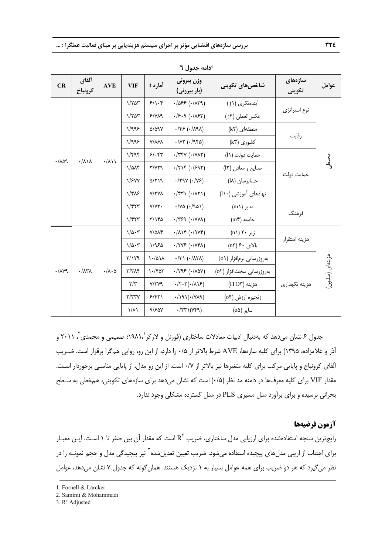| ادامه جدول ٦          |                             |                            |                         |                           |                                                                 |                                                   |                   |                 |  |
|-----------------------|-----------------------------|----------------------------|-------------------------|---------------------------|-----------------------------------------------------------------|---------------------------------------------------|-------------------|-----------------|--|
| CR                    | ألفاي<br>كرونباخ            | <b>AVE</b>                 | <b>VIF</b>              | آماره t                   | وزن بيروني<br>(بار بیرونی)                                      | شاخصهای تکوینی                                    | سازەھاي<br>تكويني | عوامل           |  |
|                       |                             |                            | 1/705                   | 5/1.5                     | $(1/11)$ 326).                                                  | آیندهنگری (j۱)                                    |                   |                 |  |
|                       |                             |                            | 1/7a <sub>r</sub>       | P/NA                      | $.75.9$ ( $.757$ )                                              | عكس العملي (j۴)                                   | نوع استراتژي      |                 |  |
|                       |                             |                            | 1/995                   | $\Delta/\Delta$ 91        | $\cdot$ /۴۶ ( $\cdot$ /۸۹۸)                                     | $(k\Upsilon)$ منطقهای                             |                   |                 |  |
|                       |                             |                            |                         | 1/995                     | <b>Y/161</b>                                                    | $.757 (+1980)$                                    | کشوری (k۳)        | رقابت           |  |
|                       |                             |                            | 1/F9F                   | 5/65                      | $\cdot$ /٣۴٧ ( $\cdot$ /٧٨٢)                                    | حمايت دولت (١١)                                   | حمايت دولت        |                 |  |
| .709                  | $\cdot/\lambda/\lambda$     | $\cdot/\lambda$            | $1/\Delta\Lambda f$     | Y/YYQ                     | $\cdot$ / $\uparrow \uparrow \uparrow$ ( $\cdot$ / $\circ$ 9.7) | صنایع و معادن (۱۳)                                |                   | پر<br>ویک       |  |
|                       |                             |                            | $\frac{1}{5}$           | ۵/۲۱۹                     | $\cdot$ /۲۹۷ ( $\cdot$ /Υ۶)                                     | حسابرسان (١٨)                                     |                   |                 |  |
|                       |                             |                            | $1/F\lambda$ ۶          | <b>Y/TYA</b>              | $\cdot$ /۴۳۱ ( $\cdot$ /۸۲۱)                                    | نهادهای آموزشی (۱۰)                               |                   |                 |  |
|                       |                             |                            | 1/FYY                   | $Y/YY$ .                  | $\cdot$ /YQ $(\cdot$ /921)                                      | مدير (m۱)                                         |                   |                 |  |
|                       |                             |                            | 1/FYY                   | $\mathcal{L}/\mathcal{L}$ | $\cdot$ /٣۶٩ ( $\cdot$ /٧٧٨)                                    | $(me)$ جامعه                                      | فرهنگ             |                 |  |
|                       |                             |                            | $1/\Delta \cdot 7$      | $Y/\Delta\Lambda f$       | $\cdot/\lambda$ ١۴ ( $\cdot$ /٩٧۴)                              | $(n \setminus \mathcal{K} \cdot \mathcal{L})$ زیر |                   |                 |  |
|                       |                             |                            | $1/\Delta \cdot 7$      | 1/950                     | $\cdot$ /۲۷۶ ( $\cdot$ /۷۴۸)                                    | بالای ۶۰ (n۳)                                     | هزينه استقرار     |                 |  |
|                       |                             |                            | Y/YQ                    | $\lambda$ /۵۱۸            | $\cdot$ /٣١ ( $\cdot$ /٨٢٨)                                     | بهروزرسانی نرم افزار (٥١)                         |                   |                 |  |
| $\cdot/\lambda\gamma$ | $\cdot/\lambda$ ۳ $\lambda$ | $\cdot/\lambda\cdot\Delta$ | $Y/Y\Lambda f$          | $\cdot$ /۴۵۳              | $-(100)(.400)$                                                  | بەروزرسانى سختافزار (٥٢)                          |                   | هزینهای (میلیون |  |
|                       |                             |                            | $\mathbf{r}/\mathbf{r}$ | Y/YYQ                     | $\cdot$ /۲۰۳( $\cdot$ /۸۱۶)                                     | $(ITO*)$ هزينه                                    | هزينه نگهداري     |                 |  |
|                       |                             |                            | Y/YYY                   | 5/57                      | $\cdot /$ 191( $\cdot$ /YA9)                                    | زنجيره ارزش (٥۴)                                  |                   |                 |  |
|                       |                             |                            | $\lambda/\lambda$       | 9/۶۵۷                     | $\cdot$ /٢٣١(٧۴٩)                                               | سایر (۵۵)                                         |                   |                 |  |

جدول ۶ نشان مىدهد كه بهدنبال ادبيات معادلات ساختارى (فورنل و لاركر ۱۹۸۱٬)؛ صميمى و محمدى ً، ۲۰۱۱ و آذر و غلامزاده، 1395) براي كليه سازهها، AVE شرط بالاتر از 0/5 را دارد، از اين رو، روايي همگرا برقرار است. ضـريب آلفاي كرونباخ و پايايي مركب براي كليه متغيرها نيز بالاتر از 0/7 است. از اين رو مدل، از پايايي مناسبي برخوردار اسـت. مقدار VIF براي كليه معرفها در دامنه مد نظر (0/5) است كه نشان ميدهد براي سازههاي تكويني، همخطي به سـطح بحراني نرسيده و براي برآورد مدل مسيري PLS در مدل گسترده مشكلي وجود ندارد.

# **آزمون فرضيهها**

رايجترين سنجه استفادهشده براي ارزيابي مدل ساختاري، ضريب  $R^\gamma$  است كه مقدار آن بين صفر تا ۱ اسـت. ايـن معيـار برای اجتناب از اريبی مدلِ های پيچيده استفاده میشود. ضريب تعيين تعديلِشده<sup>۳</sup> نيز پيچيدگی مدل و حجم نمونـه را در نظر ميگيرد كه هر دو ضريب براي همه عوامل بسيار به ١ نزديك هستند. همان گونه كه جدول ٧ نشان مي دهد، عوامل

ــــــــــــــــــــــــــــــــــــــــــــــــــــــــــــــــــــــــــــــــــــــــــــــــــــــــــــــــــــــــــــــــــــ

3. R² Adjusted

<sup>1.</sup> Fornell & Larcker

<sup>2.</sup> Samimi & Mohammadi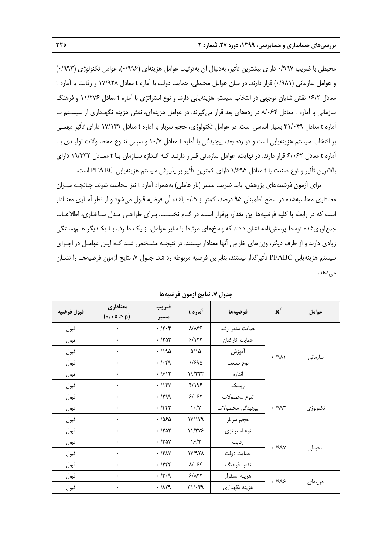محيطي با ضريب 0/997 داراي بيشترين تأثير، بهدنبال آن بهترتيب عوامل هزينهاي (0/996)، عوامل تكنولوژي (0/993) و عوامل سازماني (0/981) قرار دارند. در ميان عوامل محيطي، حمايت دولت با آماره t معادل 17/928 و رقابت با آماره t معادل 16/2 نقش شايان توجهي در انتخاب سيستم هزينهيابي دارند و نوع استراتژي با آماره t معادل 11/276 و فرهنگ سازماني با آماره t معادل 8/064 در ردههاي بعد قرار ميگيرند. در عوامل هزينهاي، نقش هزينه نگهـداري از سيسـتم بـا آماره t معادل 31/049 بسيار اساسي است. در عوامل تكنولوژي، حجم سربار با آماره t معادل 17/139 داراي تأثير مهمـي بر انتخاب سيستم هزينهيابي است و در رده بعد، پيچيدگي با آماره t معادل 10/7 و سپس تنـوع محصـولات توليـدي بـا آماره t معادل 6/062 قرار دارند. در نهايت، عوامل سازماني قـرار دارنـد كـه انـدازه سـازمان بـا t معـادل 19/332 داراي بالاترين تأثير و نوع صنعت با t معادل 1/695 داراي كمترين تأثير بر پذيرش سيستم هزينهيابي PFABC است.

براي آزمون فرضيههاي پژوهش، بايد ضريب مسير (بار عاملي) بههمراه آماره t نيز محاسبه شوند. چنانچـه ميـزان معناداري محاسبهشده در سطح اطمينان 95 درصد، كمتر از 0/.5 باشد، آن فرضيه قبول ميشود و از نظر آمـاري معنـادار است كه در رابطه با كليه فرضيهها اين مقدار، برقرار است. در گـام نخسـت، بـراي طراحـي مـدل سـاختاري، اطلاعـات جمعآوريشده توسط پرسشنامه نشان دادند كه پاسخهاي مرتبط با ساير عوامل، از يك طـرف بـا يكـديگر هـمبسـتگي زيادي دارند و از طرف ديگر، وزنهاي خارجي آنها معنادار نيستند. در نتيجـه مشـخص شـد كـه ايـن عوامـل در اجـراي سيستم هزينهيابي PFABC تأثيرگذار نيستند، بنابراين فرضيه مربوطه رد شد. جدول ،7 نتايج آزمون فرضيههـا را نشـان مي دهد.

| قبول فرضيه | معناداري<br>$(\cdot/\cdot \circ > p)$ | ضريب<br>مسير | أماره t                                        | فرضيهها         | $R^{\dagger}$ | عوامل    |
|------------|---------------------------------------|--------------|------------------------------------------------|-----------------|---------------|----------|
| قبول       | $\bullet$                             | .7.7         | ۸/۸۴۶                                          | حمايت مدير ارشد |               |          |
| قبول       | ۰                                     | .707         | 5/157                                          | حمايت كاركنان   |               |          |
| قبول       | $\bullet$                             | . / 190      | $\Delta/\lambda$                               | آموزش           |               |          |
| قبول       | $\bullet$                             | . /          | ۱/۶۹۵                                          | نوع صنعت        | $. A\lambda$  | سازمانى  |
| قبول       | ۰                                     | .7517        | 19/TTT                                         | اندازه          |               |          |
| قبول       | ٠                                     | $. / \gamma$ | $f/\sqrt{2}$                                   | ریسک            |               |          |
| قبول       | ٠                                     | .799         | 51.55                                          | تنوع محصولات    |               |          |
| قبول       | $\bullet$                             | $.$ /۴۴۳     | $\mathcal{N} \cdot / \mathcal{N}$              | پیچیدگی محصولات | .799          | تكنولوژى |
| قبول       | $\bullet$                             | .785         | V/Y                                            | حجم سربار       |               |          |
| قبول       | $\bullet$                             | .701         | 11/۲۷۶                                         | نوع استراتژي    |               |          |
| قبول       | ۰                                     | $\cdot$ /۳۵۷ | $\frac{5}{7}$                                  | رقابت           |               |          |
| قبول       | ٠                                     | $\cdot$ /۴۸۷ | $N/97\lambda$                                  | حمايت دولت      | .799V         | محيطى    |
| قبول       | ۰                                     | .7799        | $\lambda/\cdot$ ۶۴                             | نقش فرهنگ       |               |          |
| قبول       | $\bullet$                             | .77.9        | 5/177                                          | هزينه استقرار   |               |          |
| قبول       | ۰                                     | .71          | $\mathbf{r}\setminus\mathbf{r}\cdot\mathbf{r}$ | هزينه نگهداري   | .799          | هزينهاى  |

**جدول .7 نتايج آزمون فرضيهها**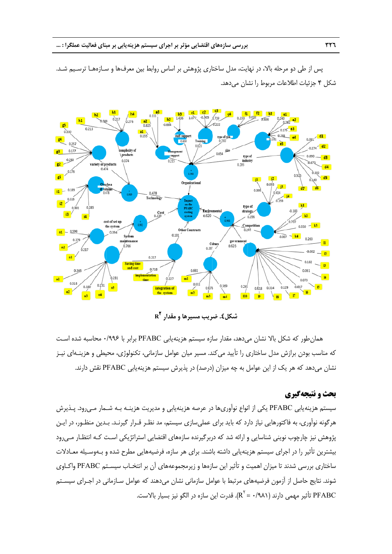پس از طی دو مرحله بالا، در نهایت، مدل ساختاری پژوهش بر اساس روابط بین معرفها و سـازههـا ترسـیم شـد. شكل ۴ جزئيات اطلاعات مربوط را نشان مىدهد.



**<sup>R</sup> <sup>2</sup> مقدار ريب مسيرها و شكل.4 ضر**

همان طور كه شكل بالا نشان مىدهد، مقدار سازه سيستم هزينهيابي PFABC برابر با ۱۹۹۶۰ محاسبه شده است كه مناسب بودن برازش مدل ساختارى را تأييد مىكند. مسير ميان عوامل سازمانى، تكنولوژى، محيطى و هزينــهاى نيــز نشان میدهد که هر یک از این عوامل به چه میزان (درصد) در پذیرش سیستم هزینهیابی PFABC نقش دارند.

#### **و نتيجهگيري بحث**

سيستم هزينهيابي PFABC يكي از انواع نواًورىها در عرصه هزينهيابي و مديريت هزينــه بــه شــمار مــىرود. پــذيرش هرگونه نوآوری، به فاکتورهایی نیاز دارد که باید برای عملیسازی سیستم، مد نظـر قـرار گیرنـد. بـدین منظـور، در ایـن پژوهش نيز چارچوب نويني شناسايي و ارائه شد كه دربرگيرنده سازههاي اقتضايي استراتژيكي اسـت كـه انتظـار مـىرود يشترين تأثير را در اجراى سيستم هزينهيابى داشته باشند. براى هر سازه، فرضيههايى مطرح شده و بـهوسـيله معـادلات ساختاری بررسی شدند تا میزان اهمیت و تأثیر این سازهها و زیرمجموعههای آن بر انتخـاب سیســتم PFABC واکــاوی شوند. نتايج حاصل از آزمون فرضيههاى مرتبط با عوامل سازمانى نشان مىدهند كه عوامل سـازمانى در اجـراى سيسـتم PFABC تأثير مهمي دارند (R<sup>۲</sup> = ۰/۹۸۱). قدرت اين سازه در الگو نيز بسيار بالاست.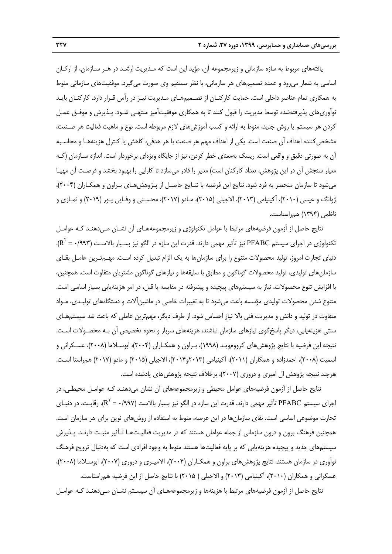يافتههاي مربوط به سازه سازماني و زيرمجموعه آن، مؤيد اين است كه مـديريت ارشـد در هـر سـازمان، از اركـان اساسي به شمار ميرود و عمده تصميمهاي هر سازماني، با نظر مستقيم وي صورت ميگيرد. موفقيتهاي سازماني منوط به همكاري تمام عناصر داخلي است. حمايت كاركنـان از تصـميمهـاي مـديريت نيـز در رأس قـرار دارد. كاركنـان بايـد نوآوريهاي پذيرفتهشده توسط مديريت را قبول كنند تا به همكاري موفقيتآميز منتهـي شـود. پـذيرش و موفـق عمـل كردن هر سيستم يا روش جديد، منوط به ارائه و كسب آموزشهاي لازم مربوطه است. نوع و ماهيت فعاليت هر صـنعت، مشخص كننده اهداف آن صنعت است. يكي از اهداف مهم هر صنعت با هر هدفي، كاهش يا كنترل هزينههـا و محاسـبه آن به صورتي دقيق و واقعي است. ريسك بهمعناي خطر كردن، نيز از جايگاه ويژهاي برخوردار است. اندازه سـازمان (كـه معيار سنجش آن در اين پژوهش، تعداد كاركنان است) مدير را قادر ميسازد تا كارايي را بهبود بخشد و فرصـت آن مهيـا ميشود تا سازمان منحصر به فرد شود. نتايج اين فرضيه با نتـايج حاصـل از پـژوهشهـاي بـراون و همكـاران (2004)، ژوانگ و عيسي (2010)، آكينيامي (2013)، الاجيلي (2015)، مـادو (2017)، محسـني و وفـايي پـور (2019) و نمـازي و ناظمي (1394) همراستاست.

نتايج حاصل از آزمون فرضيههاي مرتبط با عوامل تكنولوژي و زيرمجموعههـاي آن نشـان مـيدهنـد كـه عوامـل تكنولوژي در اجراي سيستم PFABC نيز تأثير مهمي دارند. قدرت اين سازه در الگو نيز بسـيار بالاسـت (١٩٩٣ = R<sup>۲</sup>). دنياي تجارت امروز، توليد محصولات متنوع را براي سازمانها به يك الزام تبديل كرده اسـت. مهـمتـرين عامـل بقـاي سازمانهاي توليدي، توليد محصولات گوناگون و مطابق با سليقهها و نيازهاي گوناگون مشتريان متفاوت است. همچنين، با افزايش تنوع محصولات، نياز به سيستمهاي پيچيده و پيشرفته در مقايسه با قبل، در امر هزينهيابي بسيار اساسي است. متنوع شدن محصولات توليدي مؤسسه باعث ميشود تا به تغييرات خاصي در ماشينآلات و دستگاههاي توليـدي، مـواد متفاوت در توليد و دانش و مديريت فني بالا نياز احساس شود. از طرف ديگر، مهمترين عاملي كه باعث شد سيستمهـاي سنتي هزينهيابي، ديگر پاسخگوي نيازهاي سازمان نباشند، هزينههاي سربار و نحوه تخصيص آن بـه محصـولات اسـت. نتيجه اين فرضيه با نتايج پژوهشهاي كروومويـد (1998)، بـراون و همكـاران (2004)، ابوسـلاما (2008)، عسـكراني و اسميت (2008)، احمدزاده و همكاران (2011)، آكينيامي (2013و2014)، الاجيلي (2015) و مادو (2017) همراستا اسـت. هرچند نتيجه پژوهش ال اميري و دروري (2007)، برخلاف نتيجه پژوهشهاي يادشده است.

نتايج حاصل از آزمون فرضيههاي عوامل محيطي و زيرمجموعههاي آن نشان ميدهنـد كـه عوامـل محيطـي، در اجراي سيستم PFABC تأثير مهمي دارند. قدرت اين سازه در الگو نيز بسيار بالاست (R $^{\rm V}$  = ۰/۹۹۷). رقابـت، در دنيـاي تجارت موضوعي اساسي است. بقاي سازمانها در اين عرصه، منوط به استفاده از روشهاي نوين براي هر سازمان است. همچنين فرهنگ برون و درون سازماني از جمله عواملي هستند كه در مديريت فعاليـتهـا تـأثير مثبـت دارنـد. پـذيرش سيستمهاي جديد و پيچيده هزينهيابي كه بر پايه فعاليتها هستند منوط به وجود افرادي است كه بهدنبال ترويج فرهنگ نوآوري در سازمان هستند. نتايج پژوهشهاي براون و همكـاران (2004)، الاميـري و دروري (2007)، ابوسـلاما (2008)، عسكراني و همكاران (2010)، آكينيامي (2013) و الاجيلي ( 2015) با نتايج حاصل از اين فرضيه همراستاست.

نتايج حاصل از آزمون فرضيههاي مرتبط با هزينهها و زيرمجموعههـاي آن سيسـتم نشـان مـيدهنـد كـه عوامـل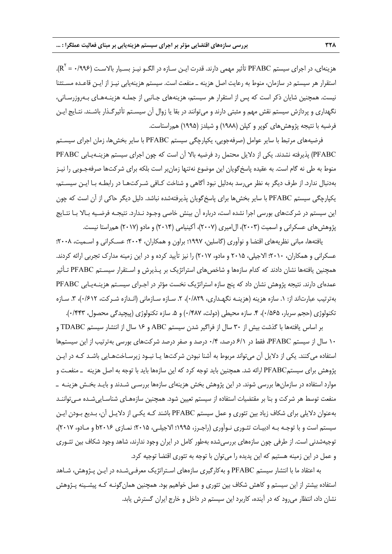هزينهاي، در اجراي سيستم PFABC تأثير مهمي دارند. قدرت ايـن سـازه در الگـو نيـز بسـيار بالاسـت (0/996 = 2 .(<sup>R</sup> استقرار هر سيستم در سازمان، منوط به رعايت اصل هزينه ـ منفعت است. سيستم هزينهيابي نيـز از ايـن قاعـده مسـتثنا نيست. همچنين شايان ذكر است كه پس از استقرار هر سيستم، هزينههاي جـانبي از جملـه هزينـههـاي بـهروزرسـاني، نگهداري و پردازش سيستم نقش مهم و مثبتي دارند و ميتوانند در بقا يا زوال آن سيسـتم تأثيرگـذار باشـند. نتـايج ايـن فرضيه با نتيجه پژوهشهاي كوپر و كپلن (1988) و شيلدز (1995) همراستاست.

فرضيههاي مرتبط با ساير عوامل (صرفهجويي، يكپارچگي سيستم PFABC با ساير بخشها، زمان اجراي سيسـتم PFABC (پذيرفته نشدند. يكي از دلايل محتمل رد فرضيه بالا آن است كه چون اجراي سيستم هزينـهيـابي PFABC منوط به طي نه گام است. به عقيده پاسخگويان اين موضوع نهتنها زمانبر است بلكه براي شركتها صرفهجـويي را نيـز بهدنبال ندارد. از طرف ديگر به نظر ميرسد بهدليل نبود آگاهي و شناخت كـافي شـركتهـا در رابطـه بـا ايـن سيسـتم، يكپارچگي سيستم PFABC با ساير بخشها براي پاسخگويان پذيرفتهشده نباشد. دليل ديگر حاكي از آن است كه چون اين سيستم در شركتهاي بورسي اجرا نشده است، درباره آن بينش خاصي وجـود نـدارد. نتيجـه فرضـيه بـالا بـا نتـايج پژوهش هاي عسكراني و اسميت (٢٠٠٣)، ال|ميري (٢٠٠٧)، آكينيامي (٢٠١۴) و مادو (٢٠١٧) همراستا نيست.

يافتهها، مباني نظريههاي اقتضا و نوآوري (گاسلين، 1997؛ براون و همكاران، 2004؛ عسـكراني و اسـميت، 2008؛ عسكراني و همكاران، 2010؛ الاجيلي، 2015 و مادو، 2017) را نيز تأييد كرده و در اين زمينه مدارك تجربي ارائه كردند. همچنين يافتهها نشان دادند كه كدام سازهها و شاخصهاي استراتژيك بر پـذيرش و اسـتقرار سيسـتم PFABC تـأثير عمدهاي دارند. نتيجه پژوهش نشان داد كه پنج سازه استراتژيك نخست مؤثر در اجـراي سيسـتم هزينـهيـابي PFABC بهترتيب عبارتاند از: .1 سازه هزينه (هزينـه نگهـداري، 0/829)، .2 سـازه سـازماني (انـدازه شـركت، 0/612)، .3 سـازه تكنولوژي (حجم سربار، 0،5۵٪)، ۴. سازه محيطي (دولت، ١٤٨٧) و ۵. سازه تكنولوژي (پيچيدگي محصول، ١٤۴٣).

بر اساس يافتهها با گذشت بيش از 30 سال از فراگير شدن سيستم ABC و 16 سال از انتشار سيستم TDABC و 10 سال از سيستم PFABC، فقط در 6/1 درصد، 0/4 درصد و صفر درصد شركتهاي بورسي بهترتيب از اين سيستمها استفاده ميكنند. يكي از دلايل آن ميتواند مربوط به آشنا نبودن شركتها يـا نبـود زيرسـاختهـايي باشـد كـه در ايـن پژوهش براي سيستمPFABC ارائه شد. همچنين بايد توجه كرد كه اين سازهها بايد با توجه به اصل هزينه ـ منفعـت و موارد استفاده در سازمانها بررسي شوند. در اين پژوهش بخش هزينهاي سازهها بررسـي شـدند و بايـد بخـش هزينـه ـ منفعت توسط هر شركت و بنا بر مقتضيات استفاده از سيستم تعيين شود. همچنين سازههـاي شناسـاييشـده مـيتواننـد بهعنوان دلايلي براي شكاف زياد بين تئوري و عمل سيستم PFABC باشند كـه يكـي از دلايـل آن، بـديع بـودن ايـن سيستم است و با توجـه بـه ادبيـات تئـوري نـوآوري (راجـرز، 1995؛ الاجيلـي، 2015؛ نمـازي 2016b و مـادو، 2017)، توجيهشدني است. از طرفي چون سازههاي بررسيشده بهطور كامل در ايران وجود ندارند، شاهد وجود شكاف بين تئـوري و عمل در اين زمينه هستيم كه اين پديده را ميتوان با توجه به تئوري اقتضا توجيه كرد.

به اعتقاد ما با انتشار سيستم PFABC و بهكارگيري سازههاي اسـتراتژيك معرفـيشـده در ايـن پـژوهش، شـاهد استفاده بيشتر از اين سيستم و كاهش شكاف بين تئوري و عمل خواهيم بود. همچنين همانگونـه كـه پيشـينه پـژوهش نشان داد، انتظار ميرود كه در آينده، كاربرد اين سيستم در داخل و خارج ايران گسترش يابد.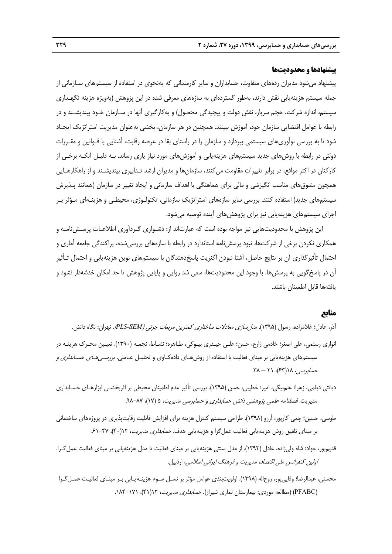## **پيشنهادها و محدوديتها**

پيشنهاد ميشود مديران ردههاي متفاوت، حسابداران و ساير كارمنداني كه بهنحوي در استفاده از سيستمهاي سـازماني از جمله سيستم هزينهيابي نقش دارند، بهطور گستردهاي به سازههاي معرفي شده در اين پژوهش (بهويژه هزينه نگهـداري سيستم، اندازه شركت، حجم سربار، نقش دولت و پيچيدگي محصول) و بهكارگيري آنها در سـازمان خـود بينديشـند و در رابطه با عوامل اقتضايي سازمان خود، آموزش ببينند. همچنين در هر سازمان، بخشي بهعنوان مديريت استراتژيك ايجـاد شود تا به بررسي نوآوريهاي سيستمي بپردازد و سازمان را در راستاي بقا در عرصه رقابت، آشنايي با قـوانين و مقـررات دولتي در رابطه با روشهاي جديد سيستمهاي هزينهيابي و آموزشهاي مورد نياز ياري رساند. بـه دليـل آنكـه برخـي از كاركنان در اكثر مواقع، در برابر تغييرات مقاومت ميكنند، سازمانها و مديران ارشد تـدابيري بينديشـند و از راهكارهـايي همچون مشوقهاي مناسب انگيزشي و مالي براي هماهنگي با اهداف سازماني و ايجاد تغيير در سازمان (همانند پـذيرش سيستمهاي جديد) استفاده كنند. بررسي ساير سازههاي استراتژيك سازماني، تكنولـوژي، محيطـي و هزينـهاي مـؤثر بـر اجراي سيستمهاي هزينهيابي نيز براي پژوهشهاي آينده توصيه ميشود.

اين پژوهش با محدوديتهايي نيز مواجه بوده است كه عبارتاند از: دشـواري گـردآوري اطلاعـات پرسـشنامـه و همكاري نكردن برخي از شركتها، نبود پرسشنامه استاندارد در رابطه با سازههاي بررسيشده، پراكندگي جامعه آماري و احتمال تأثيرگذاري آن بر نتايج حاصل، آشنا نبودن اكثريت پاسخدهندگان با سيستمهاي نوين هزينهيابي و احتمال تـأثير آن در پاسخگويي به پرسشها. با وجود اين محدوديتها، سعي شد روايي و پايايي پژوهش تا حد امكان خدشهدار نشود و يافتهها قابل اطمينان باشند.

# **منابع**

آذر، عادل؛ غلامزاده، رسول (1395). مدلسازي معادلات ساختاري كمترين مربعات جزئي (*SEM-PLS*(. تهران: نگاه دانش. انواري رستمي، علي اصغر؛ خادمي زارع، حسن؛ علـي حيـدري بيـوكي، طـاهره؛ نشـاط، نجمـه (1390). تعيـين محـرك هزينـه در سيستمهاي هزينهيابي بر مبناي فعاليت با استفاده از روشهـاي دادهكـاوي و تحليـل عـاملي. *بررســ <sub>م</sub>عـاي حســابداري و*  $\mathcal{X} \wedge \mathcal{Y}$ حس*ابرسي،* ۱۸(۶۳)، ۲۱ – ۳۸.

ديانتي ديلمي، زهرا؛ علمبيگي، امير؛ خطيبي، حسن (1395). بررسي تأثير عدم اطمينان محيطي بر اثربخشـي ابزارهـاي حسـابداري مديريت. فصلنامه علمي پژوهشي دانش حسابداري و حسابرسي مديريت، ۵ (۱۷)، ۸۷-۹۸.

طوسي، حسين؛ چمي كارپور، آرزو (1398). طراحي سيستم كنترل هزينه براي افزايش قابليت رقابتپذيري در پروژههاي ساختماني بر مبناي تلفيق روش هزينهيابي فعاليت عمل گرا و هزينهيابي هدف. حس*ابداري مديريت*، ١٢(۴٠)، ٣٧-۶۱.

قديمپور، جواد؛ شاه وليزاده، عادل (1393). از مدل سنتي هزينهيابي بر مبناي فعاليت تا مدل هزينهيابي بر مبناي فعاليت عملگـرا. اولين كنفرانس ملي اقتصاد، مديريت <sup>و</sup> فرهنگ ايراني اسلامي، اردبيل.

محسني، عبدالرضا؛ وفاييپور، روحاله (1398). اولويتبندي عوامل مؤثر بر نسـل سـوم هزينـهيـابي بـر مبنـاي فعاليـت عمـلگـرا (PFABC) (مطالعه موردي: بيمارستان نمازي شيراز). حس*ابداري مديريت*، ١٢(٢٩)، ١٧١-١٨۴.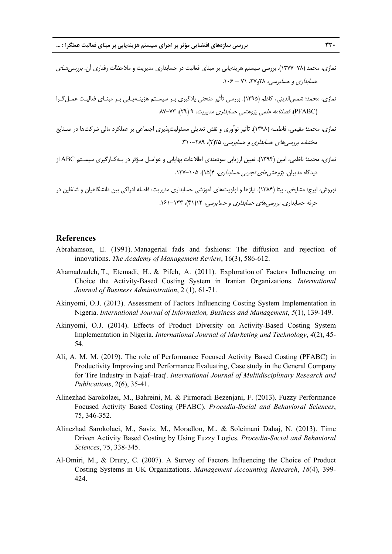- نمازي، محمد (٧٨-١٣٧٧). بررسي سيستم هزينهيابي بر مبناي فعاليت در حسابداري مديريت و ملاحظات رفتاري آن. *بررسي هـاي*  $\cdot \cdot \cdot - \cdot \cdot$ حس*ابداري و حسابرسي، ٢*٨م ٢٧ - ٠٠۶.
- نمازي، محمد؛ شمسالديني، كاظم (1395). بررسي تأثير منحني يادگيري بـر سيسـتم هزينـهيـابي بـر مبنـاي فعاليـت عمـلگـرا (PFABC). فصلنامه علمي پژوهشي حسابداري مديريت، ۹ (۲۹)، ۷۳-۸۷.
- نمازي، محمد؛ مقيمي، فاطمـه (1398). تأثير نوآوري و نقش تعديلي مسئوليتپذيري اجتماعي بر عملكرد مالي شركتها در صـنايع مختلف. بررسي هاي حس*ابداري و حسابرسي، ٢٥*(٢)، ٢٨٩-٣١٠.
- نمازي، محمد؛ ناظمي، امين (1394). تعيين ارزيابي سودمندي اطلاعات بهايابي و عوامـل مـؤثر در بـهكـارگيري سيسـتم ABC از ديدگاه مديران. *پژوهشهاي تجربي حسابداري،* ۱۴(۱۵)، ۲۰۵–۱۲۷.

نوروش، ايرج؛ مشايخي، بيتا (1384). نيازها و اولويت هاي آموزشي حسابداري مديريت: فاصله ادراكي بين دانشگاهيان و شاغلين در حرفه حسابداري. بررسي هاي حسابداري و حسابرسي، ١٢( (۴)، ١٣٣-١۶١.

#### **References**

- Abrahamson, E. (1991). Managerial fads and fashions: The diffusion and rejection of innovations. *The Academy of Management Review*, 16(3), 586-612.
- Ahamadzadeh, T., Etemadi, H., & Pifeh, A. (2011). Exploration of Factors Influencing on Choice the Activity-Based Costing System in Iranian Organizations. *International Journal of Business Administration*, 2 (1), 61-71.
- Akinyomi, O.J. (2013). Assessment of Factors Influencing Costing System Implementation in Nigeria. *International Journal of Information, Business and Management*, *5*(1), 139-149.
- Akinyomi, O.J. (2014). Effects of Product Diversity on Activity-Based Costing System Implementation in Nigeria. *International Journal of Marketing and Technology*, *4*(2), 45- 54.
- Ali, A. M. M. (2019). The role of Performance Focused Activity Based Costing (PFABC) in Productivity Improving and Performance Evaluating, Case study in the General Company for Tire Industry in Najaf–Iraq'. *International Journal of Multidisciplinary Research and Publications*, 2(6), 35-41.
- Alinezhad Sarokolaei, M., Bahreini, M. & Pirmoradi Bezenjani, F. (2013). Fuzzy Performance Focused Activity Based Costing (PFABC). *Procedia-Social and Behavioral Sciences*, 75, 346-352.
- Alinezhad Sarokolaei, M., Saviz, M., Moradloo, M., & Soleimani Dahaj, N. (2013). Time Driven Activity Based Costing by Using Fuzzy Logics. *Procedia-Social and Behavioral Sciences*, 75, 338-345.
- Al-Omiri, M., & Drury, C. (2007). A Survey of Factors Influencing the Choice of Product Costing Systems in UK Organizations. *Management Accounting Research*, *18*(4), 399- 424.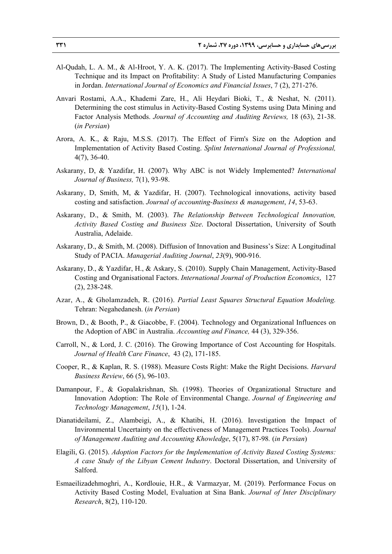- Al-Qudah, L. A. M., & Al-Hroot, Y. A. K. (2017). The Implementing Activity-Based Costing Technique and its Impact on Profitability: A Study of Listed Manufacturing Companies in Jordan. *International Journal of Economics and Financial Issues*, 7 (2), 271-276.
- Anvari Rostami, A.A., Khademi Zare, H., Ali Heydari Bioki, T., & Neshat, N. (2011). Determining the cost stimulus in Activity-Based Costing Systems using Data Mining and Factor Analysis Methods. *Journal of Accounting and Auditing Reviews,* 18 (63), 21-38. (*in Persian*)
- Arora, A. K., & Raju, M.S.S. (2017). The Effect of Firm's Size on the Adoption and Implementation of Activity Based Costing. *Splint International Journal of Professional,* 4(7), 36-40.
- Askarany, D, & Yazdifar, H. (2007). Why ABC is not Widely Implemented? *International Journal of Business,* 7(1), 93-98.
- Askarany, D, Smith, M, & Yazdifar, H. (2007). Technological innovations, activity based costing and satisfaction. *Journal of accounting-Business & management*, *14*, 53-63.
- Askarany, D., & Smith, M. (2003). *The Relationship Between Technological Innovation, Activity Based Costing and Business Size*. Doctoral Dissertation, University of South Australia, Adelaide.
- Askarany, D., & Smith, M. (2008). Diffusion of Innovation and Business's Size: A Longitudinal Study of PACIA. *Managerial Auditing Journal*, *23*(9), 900-916.
- Askarany, D., & Yazdifar, H., & Askary, S. (2010). Supply Chain Management, Activity-Based Costing and Organisational Factors. *International Journal of Production Economics*, 127 (2), 238-248.
- Azar, A., & Gholamzadeh, R. (2016). *Partial Least Squares Structural Equation Modeling.* Tehran: Negahedanesh. (*in Persian*)
- Brown, D., & Booth, P., & Giacobbe, F. (2004). Technology and Organizational Influences on the Adoption of ABC in Australia. *Accounting and Finance,* 44 (3), 329-356.
- Carroll, N., & Lord, J. C. (2016). The Growing Importance of Cost Accounting for Hospitals. *Journal of Health Care Finance*, 43 (2), 171-185.
- Cooper, R., & Kaplan, R. S. (1988). Measure Costs Right: Make the Right Decisions. *Harvard Business Review*, 66 (5), 96-103.
- Damanpour, F., & Gopalakrishnan, Sh. (1998). Theories of Organizational Structure and Innovation Adoption: The Role of Environmental Change. *Journal of Engineering and Technology Management*, *15*(1), 1-24.
- Dianatideilami, Z., Alambeigi, A., & Khatibi, H. (2016). Investigation the Impact of Invironmental Uncertainty on the effectiveness of Management Practices Tools). *Journal of Management Auditing and Accounting Khowledge*, 5(17), 87-98*.* (*in Persian*)
- Elagili, G. (2015). *Adoption Factors for the Implementation of Activity Based Costing Systems: A case Study of the Libyan Cement Industry*. Doctoral Dissertation, and University of Salford.
- Esmaeilizadehmoghri, A., Kordlouie, H.R., & Varmazyar, M. (2019). Performance Focus on Activity Based Costing Model, Evaluation at Sina Bank. *Journal of Inter Disciplinary Research*, 8(2), 110-120.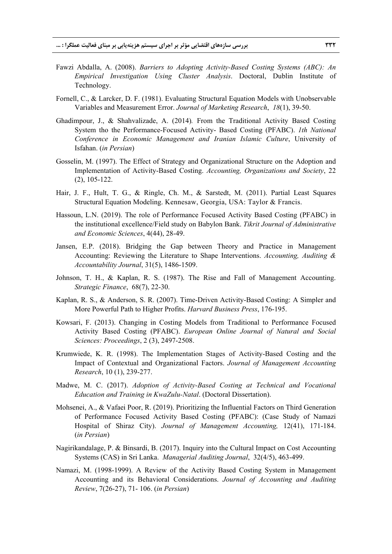- Fawzi Abdalla, A. (2008). *Barriers to Adopting Activity-Based Costing Systems (ABC): An Empirical Investigation Using Cluster Analysis*. Doctoral, Dublin Institute of Technology.
- Fornell, C., & Larcker, D. F. (1981). Evaluating Structural Equation Models with Unobservable Variables and Measurement Error. *Journal of Marketing Research*, *18*(1), 39-50.
- Ghadimpour, J., & Shahvalizade, A. (2014)*.* From the Traditional Activity Based Costing System tho the Performance-Focused Activity- Based Costing (PFABC). *1th National Conference in Economic Management and Iranian Islamic Culture*, University of Isfahan. (*in Persian*)
- Gosselin, M. (1997). The Effect of Strategy and Organizational Structure on the Adoption and Implementation of Activity-Based Costing. *Accounting, Organizations and Society*, 22 (2), 105-122.
- Hair, J. F., Hult, T. G., & Ringle, Ch. M., & Sarstedt, M. (2011). Partial Least Squares Structural Equation Modeling. Kennesaw, Georgia, USA: Taylor & Francis.
- Hassoun, L.N. (2019). The role of Performance Focused Activity Based Costing (PFABC) in the institutional excellence/Field study on Babylon Bank. *Tikrit Journal of Administrative and Economic Sciences*, 4(44), 28-49.
- Jansen, E.P. (2018). Bridging the Gap between Theory and Practice in Management Accounting: Reviewing the Literature to Shape Interventions. *Accounting, Auditing & Accountability Journal*, 31(5), 1486-1509.
- Johnson, T. H., & Kaplan, R. S. (1987). The Rise and Fall of Management Accounting. *Strategic Finance*, 68(7), 22-30.
- Kaplan, R. S., & Anderson, S. R. (2007). Time-Driven Activity-Based Costing: A Simpler and More Powerful Path to Higher Profits. *Harvard Business Press*, 176-195.
- Kowsari, F. (2013). Changing in Costing Models from Traditional to Performance Focused Activity Based Costing (PFABC). *European Online Journal of Natural and Social Sciences: Proceedings*, 2 (3), 2497-2508.
- Krumwiede, K. R. (1998). The Implementation Stages of Activity-Based Costing and the Impact of Contextual and Organizational Factors. *Journal of Management Accounting Research*, 10 (1), 239-277.
- Madwe, M. C. (2017). *Adoption of Activity-Based Costing at Technical and Vocational Education and Training in KwaZulu-Natal*. (Doctoral Dissertation).
- Mohsenei, A., & Vafaei Poor, R. (2019). Prioritizing the Influential Factors on Third Generation of Performance Focused Activity Based Costing (PFABC): (Case Study of Namazi Hospital of Shiraz City). *Journal of Management Accounting,* 12(41), 171-184. (*in Persian*)
- Nagirikandalage, P. & Binsardi, B. (2017). Inquiry into the Cultural Impact on Cost Accounting Systems (CAS) in Sri Lanka. *Managerial Auditing Journal*, 32(4/5), 463-499.
- Namazi, M. (1998-1999). A Review of the Activity Based Costing System in Management Accounting and its Behavioral Considerations. *Journal of Accounting and Auditing Review*, 7(26-27), 71- 106. (*in Persian*)